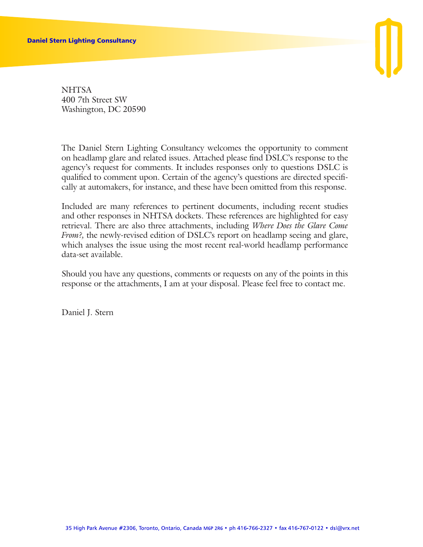

**NHTSA** 400 7th Street SW Washington, DC 20590

The Daniel Stern Lighting Consultancy welcomes the opportunity to comment on headlamp glare and related issues. Attached please find DSLC's response to the agency's request for comments. It includes responses only to questions DSLC is qualified to comment upon. Certain of the agency's questions are directed specifically at automakers, for instance, and these have been omitted from this response.

Included are many references to pertinent documents, including recent studies and other responses in NHTSA dockets. These references are highlighted for easy retrieval. There are also three attachments, including *Where Does the Glare Come From?*, the newly-revised edition of DSLC's report on headlamp seeing and glare, which analyses the issue using the most recent real-world headlamp performance data-set available.

Should you have any questions, comments or requests on any of the points in this response or the attachments, I am at your disposal. Please feel free to contact me.

Daniel J. Stern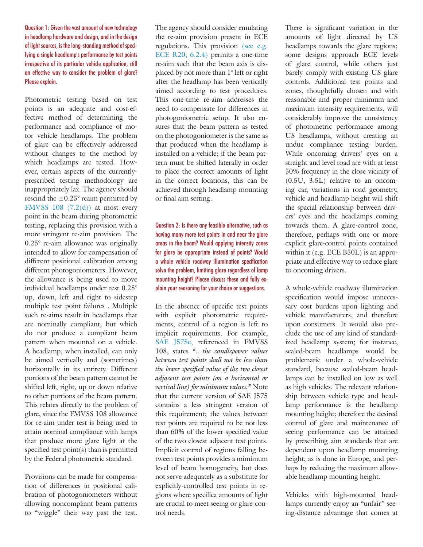Question 1: Given the vast amount of new technology in headlamp hardware and design, and in the design of light sources, is the long-standing method of specifying a single headlamp's performance by test points irrespective of its particular vehicle application, still an effective way to consider the problem of glare? Please explain.

Photometric testing based on test points is an adequate and cost-effective method of determining the performance and compliance of motor vehicle headlamps. The problem of glare can be effectively addressed without changes to the method by which headlamps are tested. However, certain aspects of the currentlyprescribed testing methodology are inappropriately lax. The agency should rescind the  $\pm 0.25^{\circ}$  reaim permitted by FMVSS  $108$  (7.2(d)) at most every point in the beam during photometric testing, replacing this provision with a more stringent re-aim provision. The 0.25° re-aim allowance was originally intended to allow for compensation of different positional calibration among different photogoniometers. However, the allowance is being used to move individual headlamps under test 0.25° up, down, left and right to sidestep multiple test point failures . Multiple such re-aims result in headlamps that are nominally compliant, but which do not produce a compliant beam pattern when mounted on a vehicle. A headlamp, when installed, can only be aimed vertically and (sometimes) horizontally in its entirety. Different portions of the beam pattern cannot be shifted left, right, up or down relative to other portions of the beam pattern. This relates directly to the problem of glare, since the FMVSS 108 allowance for re-aim under test is being used to attain nominal compliance with lamps that produce more glare light at the specified test point(s) than is permitted by the Federal photometric standard.

Provisions can be made for compensation of differences in positional calibration of photogoniometers without allowing noncompliant beam patterns to "wiggle" their way past the test.

The agency should consider emulating the re-aim provision present in ECE regulations. This provision (see e.g. ECE R20, 6.2.4) permits a one-time re-aim such that the beam axis is displaced by not more than 1° left or right after the headlamp has been vertically aimed according to test procedures. This one-time re-aim addresses the need to compensate for differences in photogoniometric setup. It also ensures that the beam pattern as tested on the photogoniometer is the same as that produced when the headlamp is installed on a vehicle; if the beam pattern must be shifted laterally in order to place the correct amounts of light in the correct locations, this can be achieved through headlamp mounting or final aim setting.

Question 2: Is there any feasible alternative, such as having many more test points in and near the glare areas in the beam? Would applying intensity zones for glare be appropriate instead of points? Would a whole vehicle roadway illumination specification solve the problem, limiting glare regardless of lamp mounting height? Please discuss these and fully explain your reasoning for your choice or suggestions.

In the absence of specific test points with explicit photometric requirements, control of a region is left to implicit requirements. For example, SAE J575e, referenced in FMVSS 108, states *"…the candlepower values between test points shall not be less than the lower specified value of the two closest adjacent test points (on a horizontal or vertical line) for minimum values."* Note that the current version of SAE J575 contains a less stringent version of this requirement; the values between test points are required to be not less than 60% of the lower specified value of the two closest adjacent test points. Implicit control of regions falling between test points provides a mimimum level of beam homogeneity, but does not serve adequately as a substitute for explicitly-controlled test points in regions where specifica amounts of light are crucial to meet seeing or glare-control needs.

There is significant variation in the amounts of light directed by US headlamps towards the glare regions; some designs approach ECE levels of glare control, while others just barely comply with existing US glare controls. Additional test points and zones, thoughtfully chosen and with reasonable and proper minimum and maximum intensity requirements, will considerably improve the consistency of photometric performance among US headlamps, without creating an undue compliance testing burden. While oncoming drivers' eyes on a straight and level road are with at least 50% frequency in the close vicinity of (0.5U, 3.5L) relative to an oncoming car, variations in road geometry, vehicle and headlamp height will shift the spacial relationship between drivers' eyes and the headlamps coming towards them. A glare-control zone, therefore, perhaps with one or more explicit glare-control points contained within it (e.g. ECE B50L) is an appropriate and effective way to reduce glare to oncoming drivers.

A whole-vehicle roadway illumination specification would impose unnecessary cost burdens upon lighting and vehicle manufacturers, and therefore upon consumers. It would also preclude the use of any kind of standardized headlamp system; for instance, sealed-beam headlamps would be problematic under a whole-vehicle standard, because sealed-beam headlamps can be installed on low as well as high vehicles. The relevant relationship between vehicle type and headlamp performance is the headlamp mounting height; therefore the desired control of glare and maintenance of seeing performance can be attained by prescribing aim standards that are dependent upon headlamp mounting height, as is done in Europe, and perhaps by reducing the maximum allowable headlamp mounting height.

Vehicles with high-mounted headlamps currently enjoy an "unfair" seeing-distance advantage that comes at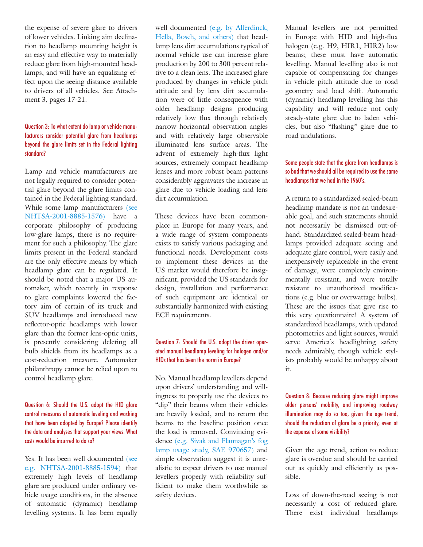the expense of severe glare to drivers of lower vehicles. Linking aim declination to headlamp mounting height is an easy and effective way to materially reduce glare from high-mounted headlamps, and will have an equalizing effect upon the seeing distance available to drivers of all vehicles. See Attachment 3, pages 17-21.

#### Question 3: To what extent do lamp or vehicle manufacturers consider potential glare from headlamps beyond the glare limits set in the Federal lighting standard?

Lamp and vehicle manufacturers are not legally required to consider potential glare beyond the glare limits contained in the Federal lighting standard. While some lamp manufacturers (see NHTSA-2001-8885-1576) have a corporate philosophy of producing low-glare lamps, there is no requirement for such a philosophy. The glare limits present in the Federal standard are the only effective means by which headlamp glare can be regulated. It should be noted that a major US automaker, which recently in response to glare complaints lowered the factory aim of certain of its truck and SUV headlamps and introduced new reflector-optic headlamps with lower glare than the former lens-optic units, is presently considering deleting all bulb shields from its headlamps as a cost-reduction measure. Automaker philanthropy cannot be relied upon to control headlamp glare.

#### Question 6: Should the U.S. adopt the HID glare control measures of automatic leveling and washing that have been adopted by Europe? Please identify the data and analyses that support your views. What costs would be incurred to do so?

Yes. It has been well documented (see e.g. NHTSA-2001-8885-1594) that extremely high levels of headlamp glare are produced under ordinary vehicle usage conditions, in the absence of automatic (dynamic) headlamp levelling systems. It has been equally

well documented (e.g. by Alferdinck, Hella, Bosch, and others) that headlamp lens dirt accumulations typical of normal vehicle use can increase glare production by 200 to 300 percent relative to a clean lens. The increased glare produced by changes in vehicle pitch attitude and by lens dirt accumulation were of little consequence with older headlamp designs producing relatively low flux through relatively narrow horizontal observation angles and with relatively large observable illuminated lens surface areas. The advent of extremely high-flux light sources, extremely compact headlamp lenses and more robust beam patterns considerably aggravates the increase in glare due to vehicle loading and lens dirt accumulation.

These devices have been commonplace in Europe for many years, and a wide range of system components exists to satisfy various packaging and functional needs. Development costs to implement these devices in the US market would therefore be insignificant, provided the US standards for design, installation and performance of such equipment are identical or substantially harmonized with existing ECE requirements.

#### Question 7: Should the U.S. adopt the driver operated manual headlamp leveling for halogen and/or HIDs that has been the norm in Europe?

No. Manual headlamp levellers depend upon drivers' understanding and willingness to properly use the devices to "dip" their beams when their vehicles are heavily loaded, and to return the beams to the baseline position once the load is removed. Convincing evidence (e.g. Sivak and Flannagan's fog lamp usage study, SAE 970657) and simple observation suggest it is unrealistic to expect drivers to use manual levellers properly with reliability sufficient to make them worthwhile as safety devices.

Manual levellers are not permitted in Europe with HID and high-flux halogen (e.g. H9, HIR1, HIR2) low beams; these must have automatic levelling. Manual levelling also is not capable of compensating for changes in vehicle pitch attitude due to road geometry and load shift. Automatic (dynamic) headlamp levelling has this capability and will reduce not only steady-state glare due to laden vehicles, but also "flashing" glare due to road undulations.

#### Some people state that the glare from headlamps is so bad that we should all be required to use the same headlamps that we had in the 1960's.

A return to a standardized sealed-beam headlamp mandate is not an undesireable goal, and such statements should not necessarily be dismissed out-ofhand. Standardized sealed-beam headlamps provided adequate seeing and adequate glare control, were easily and inexpensively replaceable in the event of damage, were completely environmentally resistant, and were totally resistant to unauthorized modifications (e.g. blue or overwattage bulbs). These are the issues that give rise to this very questionnaire! A system of standardized headlamps, with updated photometrics and light sources, would serve America's headlighting safety needs admirably, though vehicle stylists probably would be unhappy about it.

#### Question 8: Because reducing glare might improve older persons' mobility, and improving roadway illumination may do so too, given the age trend, should the reduction of glare be a priority, even at the expense of some visibility?

Given the age trend, action to reduce glare is overdue and should be carried out as quickly and efficiently as possible.

Loss of down-the-road seeing is not necessarily a cost of reduced glare. There exist individual headlamps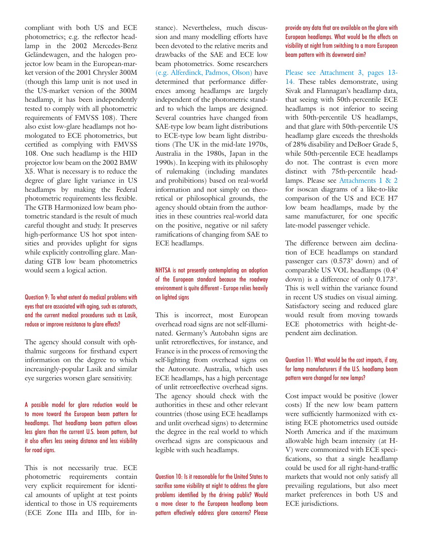compliant with both US and ECE photometrics; e.g. the reflector headlamp in the 2002 Mercedes-Benz Geländewagen, and the halogen projector low beam in the European-market version of the 2001 Chrysler 300M (though this lamp unit is not used in the US-market version of the 300M headlamp, it has been independently tested to comply with all photometric requirements of FMVSS 108). There also exist low-glare headlamps not homologated to ECE photometrics, but certified as complying with FMVSS 108. One such headlamp is the HID projector low beam on the 2002 BMW X5. What is necessary is to reduce the degree of glare light variance in US headlamps by making the Federal photometric requirements less flexible. The GTB Harmonized low beam photometric standard is the result of much careful thought and study. It preserves high-performance US hot spot intensities and provides uplight for signs while explicitly controlling glare. Mandating GTB low beam photometrics would seem a logical action.

#### Question 9: To what extent do medical problems with eyes that are associated with aging, such as cataracts, and the current medical procedures such as Lasik, reduce or improve resistance to glare effects?

The agency should consult with ophthalmic surgeons for firsthand expert information on the degree to which increasingly-popular Lasik and similar eye surgeries worsen glare sensitivity.

A possible model for glare reduction would be to move toward the European beam pattern for headlamps. That headlamp beam pattern allows less glare than the current U.S. beam pattern, but it also offers less seeing distance and less visibility for road signs.

This is not necessarily true. ECE photometric requirements contain very explicit requirement for identical amounts of uplight at test points identical to those in US requirements (ECE Zone IIIa and IIIb, for instance). Nevertheless, much discussion and many modelling efforts have been devoted to the relative merits and drawbacks of the SAE and ECE low beam photometrics. Some researchers (e.g. Alferdinck, Padmos, Olson) have determined that performance differences among headlamps are largely independent of the photometric standard to which the lamps are designed. Several countries have changed from SAE-type low beam light distributions to ECE-type low beam light distributions (The UK in the mid-late 1970s, Australia in the 1980s, Japan in the 1990s). In keeping with its philosophy of rulemaking (including mandates and prohibitions) based on real-world information and not simply on theoretical or philosophical grounds, the agency should obtain from the authorities in these countries real-world data on the positive, negative or nil safety ramifications of changing from SAE to ECE headlamps.

#### NHTSA is not presently contemplating an adoption of the European standard because the roadway environment is quite different - Europe relies heavily on lighted signs

This is incorrect, most European overhead road signs are not self-illuminated. Germany's Autobahn signs are unlit retroreflectives, for instance, and France is in the process of removing the self-lighting from overhead signs on the Autoroute. Australia, which uses ECE headlamps, has a high percentage of unlit retroreflective overhead signs. The agency should check with the authorities in these and other relevant countries (those using ECE headlamps and unlit overhead signs) to determine the degree in the real world to which overhead signs are conspicuous and legible with such headlamps.

Question 10: Is it reasonable for the United States to sacrifice some visibility at night to address the glare problems identified by the driving public? Would a move closer to the European headlamp beam pattern effectively address glare concerns? Please

provide any data that are available on the glare with European headlamps. What would be the effects on visibility at night from switching to a more European beam pattern with its downward aim?

Please see Attachment 3, pages 13- 14. These tables demonstrate, using Sivak and Flannagan's headlamp data, that seeing with 50th-percentile ECE headlamps is not inferior to seeing with 50th-percentile US headlamps, and that glare with 50th-percentile US headlamp glare exceeds the thresholds of 28% disability and DeBoer Grade 5, while 50th-percentile ECE headlamps do not. The contrast is even more distinct with 75th-percentile headlamps. Please see Attachments 1 & 2 for isoscan diagrams of a like-to-like comparison of the US and ECE H7 low beam headlamps, made by the same manufacturer, for one specific late-model passenger vehicle.

The difference between aim declination of ECE headlamps on standard passenger cars (0.573° down) and of comparable US VOL headlamps (0.4° down) is a difference of only 0.173°. This is well within the variance found in recent US studies on visual aiming. Satisfactory seeing and reduced glare would result from moving towards ECE photometrics with height-dependent aim declination.

#### Question 11: What would be the cost impacts, if any, for lamp manufacturers if the U.S. headlamp beam pattern were changed for new lamps?

Cost impact would be positive (lower costs) If the new low beam pattern were sufficiently harmonized with existing ECE photometrics used outside North America and if the maximum allowable high beam intensity (at H-V) were commonized with ECE specifications, so that a single headlamp could be used for all right-hand-traffic markets that would not only satisfy all prevailing regulations, but also meet market preferences in both US and ECE jurisdictions.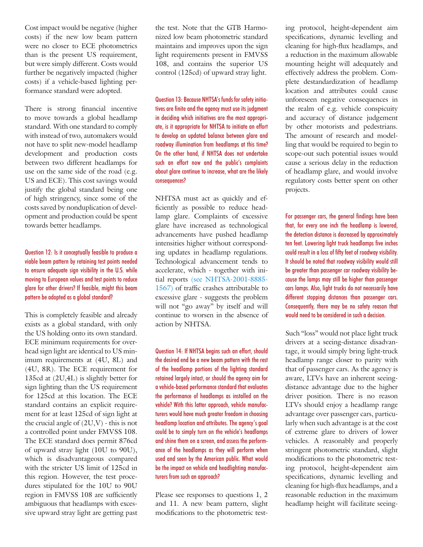Cost impact would be negative (higher costs) if the new low beam pattern were no closer to ECE photometrics than is the present US requirement, but were simply different. Costs would further be negatively impacted (higher costs) if a vehicle-based lighting performance standard were adopted.

There is strong financial incentive to move towards a global headlamp standard. With one standard to comply with instead of two, automakers would not have to split new-model headlamp development and production costs between two different headlamps for use on the same side of the road (e.g. US and ECE). This cost savings would justify the global standard being one of high stringency, since some of the costs saved by nonduplication of development and production could be spent towards better headlamps.

#### Question 12: Is it conceptually feasible to produce a viable beam pattern by retaining test points needed to ensure adequate sign visibility in the U.S. while moving to European values and test points to reduce glare for other drivers? If feasible, might this beam pattern be adopted as a global standard?

This is completely feasible and already exists as a global standard, with only the US holding onto its own standard. ECE minimum requirements for overhead sign light are identical to US minimum requirements at (4U, 8L) and (4U, 8R). The ECE requirement for 135cd at (2U,4L) is slightly better for sign lighting than the US requirement for 125cd at this location. The ECE standard contains an explicit requirement for at least 125cd of sign light at the crucial angle of  $(2U,V)$  - this is not a controlled point under FMVSS 108. The ECE standard does permit 876cd of upward stray light (10U to 90U), which is disadvantageous compared with the stricter US limit of 125cd in this region. However, the test procedures stipulated for the 10U to 90U region in FMVSS 108 are sufficiently ambiguous that headlamps with excessive upward stray light are getting past

the test. Note that the GTB Harmonized low beam photometric standard maintains and improves upon the sign light requirements present in FMVSS 108, and contains the superior US control (125cd) of upward stray light.

Question 13: Because NHTSA's funds for safety initiatives are finite and the agency must use its judgment in deciding which initiatives are the most appropriate, is it appropriate for NHTSA to initiate an effort to develop an updated balance between glare and roadway illumination from headlamps at this time? On the other hand, if NHTSA does not undertake such an effort now and the public's complaints about glare continue to increase, what are the likely consequences?

NHTSA must act as quickly and efficiently as possible to reduce headlamp glare. Complaints of excessive glare have increased as technological advancements have pushed headlamp intensities higher without corresponding updates in headlamp regulations. Technological advancement tends to accelerate, which - together with initial reports (see NHTSA-2001-8885- 1567) of traffic crashes attributable to excessive glare - suggests the problem will not "go away" by itself and will continue to worsen in the absence of action by NHTSA.

Question 14: If NHTSA begins such an effort, should the desired end be a new beam pattern with the rest of the headlamp portions of the lighting standard retained largely intact, or should the agency aim for a vehicle-based performance standard that evaluates the performance of headlamps as installed on the vehicle? With this latter approach, vehicle manufacturers would have much greater freedom in choosing headlamp location and attributes. The agency's goal could be to simply turn on the vehicle's headlamps and shine them on a screen, and assess the performance of the headlamps as they will perform when used and seen by the American public. What would be the impact on vehicle and headlighting manufacturers from such an approach?

Please see responses to questions 1, 2 and 11. A new beam pattern, slight modifications to the photometric test-

ing protocol, height-dependent aim specifications, dynamic levelling and cleaning for high-flux headlamps, and a reduction in the maximum allowable mounting height will adequately and effectively address the problem. Complete destandardization of headlamp location and attributes could cause unforeseen negative consequences in the realm of e.g. vehicle conspicuity and accuracy of distance judgement by other motorists and pedestrians. The amount of research and modelling that would be required to begin to scope-out such potential issues would cause a serious delay in the reduction of headlamp glare, and would involve regulatory costs better spent on other projects.

For passenger cars, the general findings have been that, for every one inch the headlamp is lowered, the detection distance is decreased by approximately ten feet. Lowering light truck headlamps five inches could result in a loss of fifty feet of roadway visibility. It should be noted that roadway visibility would still be greater than passenger car roadway visibility because the lamps may still be higher than passenger cars lamps. Also, light trucks do not necessarily have different stopping distances than passenger cars. Consequently, there may be no safety reason that would need to be considered in such a decision.

Such "loss" would not place light truck drivers at a seeing-distance disadvantage, it would simply bring light-truck headlamp range closer to parity with that of passenger cars. As the agency is aware, LTVs have an inherent seeingdistance advantage due to the higher driver position. There is no reason LTVs should enjoy a headlamp range advantage over passenger cars, particularly when such advantage is at the cost of extreme glare to drivers of lower vehicles. A reasonably and properly stringent photometric standard, slight modifications to the photometric testing protocol, height-dependent aim specifications, dynamic levelling and cleaning for high-flux headlamps, and a reasonable reduction in the maximum headlamp height will facilitate seeing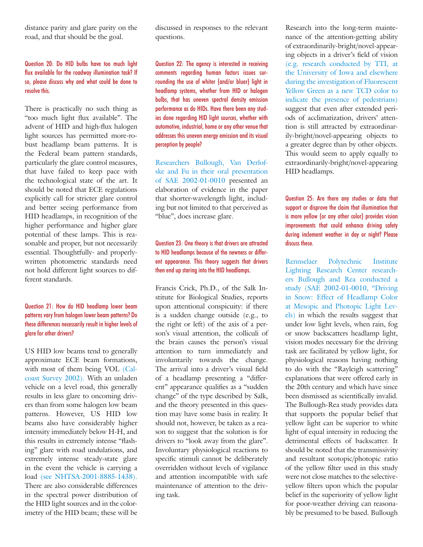distance parity and glare parity on the road, and that should be the goal.

#### Question 20: Do HID bulbs have too much light flux available for the roadway illumination task? If so, please discuss why and what could be done to resolve this.

There is practically no such thing as "too much light flux available". The advent of HID and high-flux halogen light sources has permitted more-robust headlamp beam patterns. It is the Federal beam pattern standards, particularly the glare control measures, that have failed to keep pace with the technological state of the art. It should be noted that ECE regulations explicitly call for stricter glare control and better seeing performance from HID headlamps, in recognition of the higher performance and higher glare potential of these lamps. This is reasonable and proper, but not necessarily essential. Thoughtfully- and properlywritten photometric standards need not hold different light sources to different standards.

#### Question 21: How do HID headlamp lower beam patterns vary from halogen lower beam patterns? Do these differences necessarily result in higher levels of glare for other drivers?

US HID low beams tend to generally approximate ECE beam formations, with most of them being VOL (Calcoast Survey 2002). With an unladen vehicle on a level road, this generally results in less glare to oncoming drivers than from some halogen low beam patterns. However, US HID low beams also have considerably higher intensity immediately below H-H, and this results in extremely intense "flashing" glare with road undulations, and extremely intense steady-state glare in the event the vehicle is carrying a load (see NHTSA-2001-8885-1438). There are also considerable differences in the spectral power distribution of the HID light sources and in the colorimetry of the HID beam; these will be

discussed in responses to the relevant questions.

Question 22: The agency is interested in receiving comments regarding human factors issues surrounding the use of whiter (and/or bluer) light in headlamp systems, whether from HID or halogen bulbs, that has uneven spectral density emission performance as do HIDs. Have there been any studies done regarding HID light sources, whether with automotive, industrial, home or any other venue that addresses this uneven energy emission and its visual perception by people?

Researchers Bullough, Van Derlofske and Fu in their oral presentation of SAE 2002-01-0010 presented an elaboration of evidence in the paper that shorter-wavelength light, including but not limited to that perceived as "blue", does increase glare.

#### Question 23: One theory is that drivers are attracted to HID headlamps because of the newness or different appearance. This theory suggests that drivers then end up staring into the HID headlamps.

Francis Crick, Ph.D., of the Salk Institute for Biological Studies, reports upon attentional conspicuity: if there is a sudden change outside (e.g., to the right or left) of the axis of a person's visual attention, the colliculi of the brain causes the person's visual attention to turn immediately and involuntarily towards the change. The arrival into a driver's visual field of a headlamp presenting a "different" appearance qualifies as a "sudden change" of the type described by Salk, and the theory presented in this question may have some basis in reality. It should not, however, be taken as a reason to suggest that the solution is for drivers to "look away from the glare". Involuntary physiological reactions to specific stimuli cannot be deliberately overridden without levels of vigilance and attention incompatible with safe maintenance of attention to the driving task.

Research into the long-term maintenance of the attention-getting ability of extraordinarily-bright/novel-appearing objects in a driver's field of vision (e.g. research conducted by TTI, at the University of Iowa and elsewhere during the investigation of Fluorescent Yellow Green as a new TCD color to indicate the presence of pedestrians) suggest that even after extended periods of acclimatization, drivers' attention is still attracted by extraordinarily-bright/novel-appearing objects to a greater degree than by other objects. This would seem to apply equally to extraordinarily-bright/novel-appearing HID headlamps.

Question 25: Are there any studies or data that support or disprove the claim that illumination that is more yellow (or any other color) provides vision improvements that could enhance driving safety during inclement weather in day or night? Please discuss these.

Rennselaer Polytechnic Institute Lighting Research Center researchers Bullough and Rea conducted a study (SAE 2002-01-0010, "Driving in Snow: Effect of Headlamp Color at Mesopic and Photopic Light Levels) in which the results suggest that under low light levels, when rain, fog or snow backscatters headlamp light, vision modes necessary for the driving task are facilitated by yellow light, for physiological reasons having nothing to do with the "Rayleigh scattering" explanations that were offered early in the 20th century and which have since been dismissed as scientifically invalid. The Bullough-Rea study provides data that supports the popular belief that yellow light can be superior to white light of equal intensity in reducing the detrimental effects of backscatter. It should be noted that the transmissivity and resultant scotopic/photopic ratio of the yellow filter used in this study were not close matches to the selectiveyellow filters upon which the popular belief in the superiority of yellow light for poor-weather driving can reasonably be presumed to be based. Bullough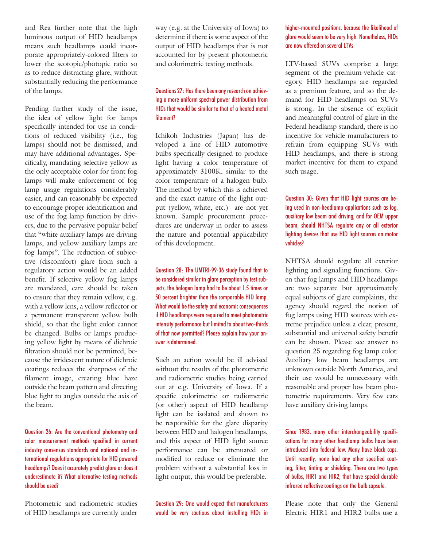and Rea further note that the high luminous output of HID headlamps means such headlamps could incorporate appropriately-colored filters to lower the scotopic/photopic ratio so as to reduce distracting glare, without substantially reducing the performance of the lamps.

Pending further study of the issue, the idea of yellow light for lamps specifically intended for use in conditions of reduced visibility (i.e., fog lamps) should not be dismissed, and may have additional advantages. Specifically, mandating selective yellow as the only acceptable color for front fog lamps will make enforcement of fog lamp usage regulations considerably easier, and can reasonably be expected to encourage proper identification and use of the fog lamp function by drivers, due to the pervasive popular belief that "white auxiliary lamps are driving lamps, and yellow auxiliary lamps are fog lamps". The reduction of subjective (discomfort) glare from such a regulatory action would be an added benefit. If selective yellow fog lamps are mandated, care should be taken to ensure that they remain yellow, e.g. with a yellow lens, a yellow reflector or a permanent transparent yellow bulb shield, so that the light color cannot be changed. Bulbs or lamps producing yellow light by means of dichroic filtration should not be permitted, because the irridescent nature of dichroic coatings reduces the sharpness of the filament image, creating blue haze outside the beam pattern and directing blue light to angles outside the axis of the beam.

#### Question 26: Are the conventional photometry and color measurement methods specified in current industry consensus standards and national and international regulations appropriate for HID powered headlamps? Does it accurately predict glare or does it underestimate it? What alternative testing methods should be used?

Photometric and radiometric studies of HID headlamps are currently under way (e.g. at the University of Iowa) to determine if there is some aspect of the output of HID headlamps that is not accounted for by present photometric and colorimetric testing methods.

#### Questions 27: Has there been any research on achieving a more uniform spectral power distribution from HIDs that would be similar to that of a heated metal filament?

Ichikoh Industries (Japan) has developed a line of HID automotive bulbs specifically designed to produce light having a color temperature of approximately 3100K, similar to the color temperature of a halogen bulb. The method by which this is achieved and the exact nature of the light output (yellow, white, etc.) are not yet known. Sample procurement procedures are underway in order to assess the nature and potential applicability of this development.

Question 28: The UMTRI-99-36 study found that to be considered similar in glare perception by test subjects, the halogen lamp had to be about 1.5 times or 50 percent brighter than the comparable HID lamp. What would be the safety and economic consequences if HID headlamps were required to meet photometric intensity performance but limited to about two-thirds of that now permitted? Please explain how your answer is determined.

Such an action would be ill advised without the results of the photometric and radiometric studies being carried out at e.g. University of Iowa. If a specific colorimetric or radiometric (or other) aspect of HID headlamp light can be isolated and shown to be responsible for the glare disparity between HID and halogen headlamps, and this aspect of HID light source performance can be attenuated or modified to reduce or eliminate the problem without a substantial loss in light output, this would be preferable.

Question 29: One would expect that manufacturers would be very cautious about installing HIDs in

#### higher-mounted positions, because the likelihood of glare would seem to be very high. Nonetheless, HIDs are now offered on several LTVs

LTV-based SUVs comprise a large segment of the premium-vehicle category. HID headlamps are regarded as a premium feature, and so the demand for HID headlamps on SUVs is strong. In the absence of explicit and meaningful control of glare in the Federal headlamp standard, there is no incentive for vehicle manufacturers to refrain from equipping SUVs with HID headlamps, and there is strong market incentive for them to expand such usage.

#### Question 30: Given that HID light sources are being used in non-headlamp applications such as fog, auxiliary low beam and driving, and for OEM upper beam, should NHTSA regulate any or all exterior lighting devices that use HID light sources on motor vehicles?

NHTSA should regulate all exterior lighting and signalling functions. Given that fog lamps and HID headlamps are two separate but approximately equal subjects of glare complaints, the agency should regard the notion of fog lamps using HID sources with extreme prejudice unless a clear, present, substantial and universal safety benefit can be shown. Please see answer to question 25 regarding fog lamp color. Auxiliary low beam headlamps are unknown outside North America, and their use would be unnecessary with reasonable and proper low beam photometric requirements. Very few cars have auxiliary driving lamps.

Since 1983, many other interchangeability specifications for many other headlamp bulbs have been introduced into federal law. Many have black caps. Until recently, none had any other specified coating, filter, tinting or shielding. There are two types of bulbs, HIR1 and HIR2, that have special durable infrared reflective coatings on the bulb capsule.

Please note that only the General Electric HIR1 and HIR2 bulbs use a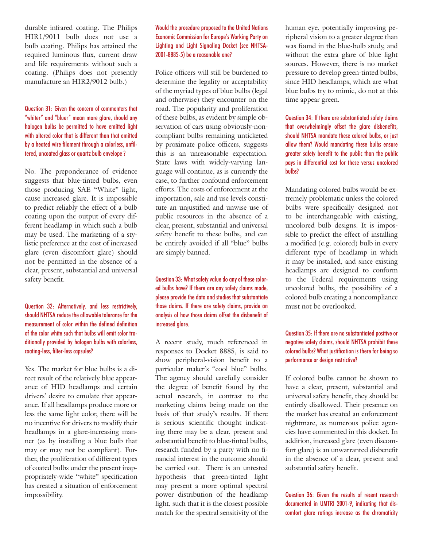durable infrared coating. The Philips HIR1/9011 bulb does not use a bulb coating. Philips has attained the required luminous flux, current draw and life requirements without such a coating. (Philips does not presently manufacture an HIR2/9012 bulb.)

Question 31: Given the concern of commenters that "whiter" and "bluer" mean more glare, should any halogen bulbs be permitted to have emitted light with altered color that is different than that emitted by a heated wire filament through a colorless, unfiltered, uncoated glass or quartz bulb envelope ?

No. The preponderance of evidence suggests that blue-tinted bulbs, even those producing SAE "White" light, cause increased glare. It is impossible to predict reliably the effect of a bulb coating upon the output of every different headlamp in which such a bulb may be used. The marketing of a stylistic preference at the cost of increased glare (even discomfort glare) should not be permitted in the absence of a clear, present, substantial and universal safety benefit.

Question 32: Alternatively, and less restrictively, should NHTSA reduce the allowable tolerance for the measurement of color within the defined definition of the color white such that bulbs will emit color traditionally provided by halogen bulbs with colorless, coating-less, filter-less capsules?

Yes. The market for blue bulbs is a direct result of the relatively blue appearance of HID headlamps and certain drivers' desire to emulate that appearance. If all headlamps produce more or less the same light color, there will be no incentive for drivers to modify their headlamps in a glare-increasing manner (as by installing a blue bulb that may or may not be compliant). Further, the proliferation of different types of coated bulbs under the present inappropriately-wide "white" specification has created a situation of enforcement impossibility.

#### Would the procedure proposed to the United Nations Economic Commission for Europe's Working Party on Lighting and Light Signaling Docket (see NHTSA-2001-8885-5) be a reasonable one?

Police officers will still be burdened to determine the legality or acceptability of the myriad types of blue bulbs (legal and otherwise) they encounter on the road. The popularity and proliferation of these bulbs, as evident by simple observation of cars using obviously-noncompliant bulbs remaining unticketed by proximate police officers, suggests this is an unreasonable expectation. State laws with widely-varying language will continue, as is currently the case, to further confound enforcement efforts. The costs of enforcement at the importation, sale and use levels constitute an unjustified and unwise use of public resources in the absence of a clear, present, substantial and universal safety benefit to these bulbs, and can be entirely avoided if all "blue" bulbs are simply banned.

Question 33: What safety value do any of these colored bulbs have? If there are any safety claims made, please provide the data and studies that substantiate those claims. If there are safety claims, provide an analysis of how those claims offset the disbenefit of increased glare.

A recent study, much referenced in responses to Docket 8885, is said to show peripheral-vision benefit to a particular maker's "cool blue" bulbs. The agency should carefully consider the degree of benefit found by the actual research, in contrast to the marketing claims being made on the basis of that study's results. If there is serious scientific thought indicating there may be a clear, present and substantial benefit to blue-tinted bulbs, research funded by a party with no financial interest in the outcome should be carried out. There is an untested hypothesis that green-tinted light may present a more optimal spectral power distribution of the headlamp light, such that it is the closest possible match for the spectral sensitivity of the

human eye, potentially improving peripheral vision to a greater degree than was found in the blue-bulb study, and without the extra glare of blue light sources. However, there is no market pressure to develop green-tinted bulbs, since HID headlamps, which are what blue bulbs try to mimic, do not at this time appear green.

Question 34: If there are substantiated safety claims that overwhelmingly offset the glare disbenefits, should NHTSA mandate these colored bulbs, or just allow them? Would mandating these bulbs ensure greater safety benefit to the public than the public pays in differential cost for these versus uncolored bulbs?

Mandating colored bulbs would be extremely problematic unless the colored bulbs were specifically designed not to be interchangeable with existing, uncolored bulb designs. It is impossible to predict the effect of installing a modified (e.g. colored) bulb in every different type of headlamp in which it may be installed, and since existing headlamps are designed to conform to the Federal requirements using uncolored bulbs, the possibility of a colored bulb creating a noncompliance must not be overlooked.

#### Question 35: If there are no substantiated positive or negative safety claims, should NHTSA prohibit these colored bulbs? What justification is there for being so performance or design restrictive?

If colored bulbs cannot be shown to have a clear, present, substantial and universal safety benefit, they should be entirely disallowed. Their presence on the market has created an enforcement nightmare, as numerous police agencies have commented in this docket. In addition, increased glare (even discomfort glare) is an unwarranted disbenefit in the absence of a clear, present and substantial safety benefit.

Question 36: Given the results of recent research documented in UMTRI 2001-9, indicating that discomfort glare ratings increase as the chromaticity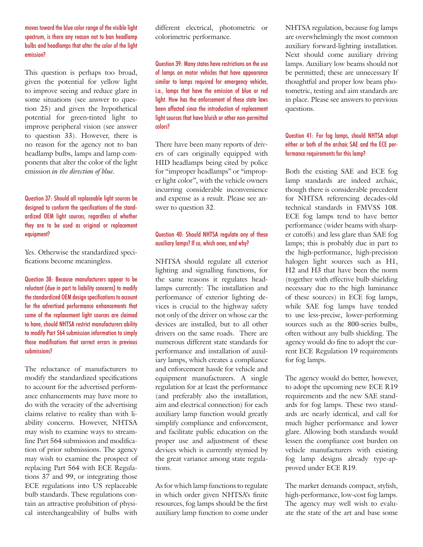#### moves toward the blue color range of the visible light spectrum, is there any reason not to ban headlamp bulbs and headlamps that alter the color of the light emission?

This question is perhaps too broad, given the potential for yellow light to improve seeing and reduce glare in some situations (see answer to question 25) and given the hypothetical potential for green-tinted light to improve peripheral vision (see answer to question 33). However, there is no reason for the agency not to ban headlamp bulbs, lamps and lamp components that alter the color of the light emission *in the direction of blue.*

Question 37: Should all replaceable light sources be designed to conform the specifications of the standardized OEM light sources, regardless of whether they are to be used as original or replacement equipment?

Yes. Otherwise the standardized specifications become meaningless.

Question 38: Because manufacturers appear to be reluctant (due in part to liability concerns) to modify the standardized OEM design specifications to account for the advertised performance enhancements that some of the replacement light sources are claimed to have, should NHTSA restrict manufacturers ability to modify Part 564 submission information to simply those modifications that correct errors in previous submissions?

The reluctance of manufacturers to modify the standardized specifications to account for the advertised performance enhancements may have more to do with the veracity of the advertising claims relative to reality than with liability concerns. However, NHTSA may wish to examine ways to streamline Part 564 submission and modification of prior submissions. The agency may wish to examine the prospect of replacing Part 564 with ECE Regulations 37 and 99, or integrating those ECE regulations into US replaceable bulb standards. These regulations contain an attractive prohibition of physical interchangeability of bulbs with

different electrical, photometric or colorimetric performance.

Question 39: Many states have restrictions on the use of lamps on motor vehicles that have appearance similar to lamps required for emergency vehicles, i.e., lamps that have the emission of blue or red light. How has the enforcement of these state laws been affected since the introduction of replacement light sources that have bluish or other non-permitted colors?

There have been many reports of drivers of cars originally equipped with HID headlamps being cited by police for "improper headlamps" or "improper light color", with the vehicle owners incurring considerable inconvenience and expense as a result. Please see answer to question 32.

#### Question 40: Should NHTSA regulate any of these auxiliary lamps? If so, which ones, and why?

NHTSA should regulate all exterior lighting and signalling functions, for the same reasons it regulates headlamps currently: The installation and performance of exterior lighting devices is crucial to the highway safety not only of the driver on whose car the devices are installed, but to all other drivers on the same roads. There are numerous different state standards for performance and installation of auxiliary lamps, which creates a compliance and enforcement hassle for vehicle and equipment manufacturers. A single regulation for at least the performance (and preferably also the installation, aim and electrical connection) for each auxiliary lamp function would greatly simplify compliance and enforcement, and facilitate public education on the proper use and adjustment of these devices which is currently stymied by the great variance among state regulations.

As for which lamp functions to regulate in which order given NHTSA's finite resources, fog lamps should be the first auxiliary lamp function to come under

NHTSA regulation, because fog lamps are overwhelmingly the most common auxiliary forward-lighting installation. Next should come auxiliary driving lamps. Auxiliary low beams should not be permitted; these are unnecessary If thoughtful and proper low beam photometric, testing and aim standards are in place. Please see answers to previous questions.

#### Question 41: For fog lamps, should NHTSA adopt either or both of the archaic SAE and the ECE performance requirements for this lamp?

Both the existing SAE and ECE fog lamp standards are indeed archaic, though there is considerable precedent for NHTSA referencing decades-old technical standards in FMVSS 108. ECE fog lamps tend to have better performance (wider beams with sharper cutoffs) and less glare than SAE fog lamps; this is probably due in part to the high-performance, high-precision halogen light sources such as H1, H2 and H3 that have been the norm (together with effective bulb shielding necessary due to the high luminance of these sources) in ECE fog lamps, while SAE fog lamps have tended to use less-precise, lower-performing sources such as the 800-series bulbs, often without any bulb shielding. The agency would do fine to adopt the current ECE Regulation 19 requirements for fog lamps.

The agency would do better, however, to adopt the upcoming new ECE R19 requirements and the new SAE standards for fog lamps. These two standards are nearly identical, and call for much higher performance and lower glare. Allowing both standards would lessen the compliance cost burden on vehicle manufacturers with existing fog lamp designs already type-approved under ECE R19.

The market demands compact, stylish, high-performance, low-cost fog lamps. The agency may well wish to evaluate the state of the art and base some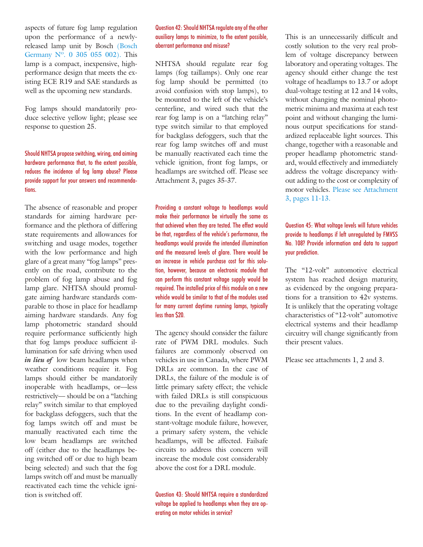aspects of future fog lamp regulation upon the performance of a newlyreleased lamp unit by Bosch (Bosch Germany Nº. 0 305 055 002). This lamp is a compact, inexpensive, highperformance design that meets the existing ECE R19 and SAE standards as well as the upcoming new standards.

Fog lamps should mandatorily produce selective yellow light; please see response to question 25.

#### Should NHTSA propose switching, wiring, and aiming hardware performance that, to the extent possible, reduces the incidence of fog lamp abuse? Please provide support for your answers and recommendations.

The absence of reasonable and proper standards for aiming hardware performance and the plethora of differing state requirements and allowances for switching and usage modes, together with the low performance and high glare of a great many "fog lamps" presently on the road, contribute to the problem of fog lamp abuse and fog lamp glare. NHTSA should promulgate aiming hardware standards comparable to those in place for headlamp aiming hardware standards. Any fog lamp photometric standard should require performance sufficiently high that fog lamps produce sufficient illumination for safe driving when used *in lieu of* low beam headlamps when weather conditions require it. Fog lamps should either be mandatorily inoperable with headlamps, or—less restrictively— should be on a "latching relay" switch similar to that employed for backglass defoggers, such that the fog lamps switch off and must be manually reactivated each time the low beam headlamps are switched off (either due to the headlamps being switched off or due to high beam being selected) and such that the fog lamps switch off and must be manually reactivated each time the vehicle ignition is switched off.

#### Question 42: Should NHTSA regulate any of the other auxiliary lamps to minimize, to the extent possible, aberrant performance and misuse?

NHTSA should regulate rear fog lamps (fog taillamps). Only one rear fog lamp should be permitted (to avoid confusion with stop lamps), to be mounted to the left of the vehicle's centerline, and wired such that the rear fog lamp is on a "latching relay" type switch similar to that employed for backglass defoggers, such that the rear fog lamp switches off and must be manually reactivated each time the vehicle ignition, front fog lamps, or headlamps are switched off. Please see Attachment 3, pages 35-37.

Providing a constant voltage to headlamps would make their performance be virtually the same as that achieved when they are tested. The effect would be that, regardless of the vehicle's performance, the headlamps would provide the intended illumination and the measured levels of glare. There would be an increase in vehicle purchase cost for this solution, however, because an electronic module that can perform this constant voltage supply would be required. The installed price of this module on a new vehicle would be similar to that of the modules used for many current daytime running lamps, typically less than \$20.

The agency should consider the failure rate of PWM DRL modules. Such failures are commonly observed on vehicles in use in Canada, where PWM DRLs are common. In the case of DRLs, the failure of the module is of little primary safety effect; the vehicle with failed DRLs is still conspicuous due to the prevailing daylight conditions. In the event of headlamp constant-voltage module failure, however, a primary safety system, the vehicle headlamps, will be affected. Failsafe circuits to address this concern will increase the module cost considerably above the cost for a DRL module.

Question 43: Should NHTSA require a standardized voltage be applied to headlamps when they are operating on motor vehicles in service?

This is an unnecessarily difficult and costly solution to the very real problem of voltage discrepancy between laboratory and operating voltages. The agency should either change the test voltage of headlamps to 13.7 or adopt dual-voltage testing at 12 and 14 volts, without changing the nominal photometric minima and maxima at each test point and without changing the luminous output specifications for standardized replaceable light sources. This change, together with a reasonable and proper headlamp photometric standard, would effectively and immediately address the voltage discrepancy without adding to the cost or complexity of motor vehicles. Please see Attachment 3, pages 11-13.

#### Question 45: What voltage levels will future vehicles provide to headlamps if left unregulated by FMVSS No. 108? Provide information and data to support your prediction.

The "12-volt" automotive electrical system has reached design maturity, as evidenced by the ongoing preparations for a transition to 42v systems. It is unlikely that the operating voltage characteristics of "12-volt" automotive electrical systems and their headlamp circuitry will change significantly from their present values.

Please see attachments 1, 2 and 3.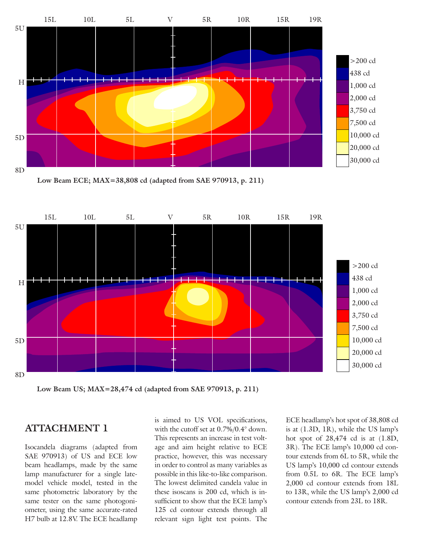

**Low Beam ECE; MAX=38,808 cd (adapted from SAE 970913, p. 211)**



**Low Beam US; MAX=28,474 cd (adapted from SAE 970913, p. 211)**

#### **ATTACHMENT 1**

Isocandela diagrams (adapted from SAE 970913) of US and ECE low beam headlamps, made by the same lamp manufacturer for a single latemodel vehicle model, tested in the same photometric laboratory by the same tester on the same photogoniometer, using the same accurate-rated H7 bulb at 12.8V. The ECE headlamp is aimed to US VOL specifications, with the cutoff set at 0.7%/0.4° down. This represents an increase in test voltage and aim height relative to ECE practice, however, this was necessary in order to control as many variables as possible in this like-to-like comparison. The lowest delimited candela value in these isoscans is 200 cd, which is insufficient to show that the ECE lamp's 125 cd contour extends through all relevant sign light test points. The ECE headlamp's hot spot of 38,808 cd is at (1.3D, 1R), while the US lamp's hot spot of 28,474 cd is at (1.8D, 3R). The ECE lamp's 10,000 cd contour extends from 6L to 5R, while the US lamp's 10,000 cd contour extends from 0.5L to 6R. The ECE lamp's 2,000 cd contour extends from 18L to 13R, while the US lamp's 2,000 cd contour extends from 23L to 18R.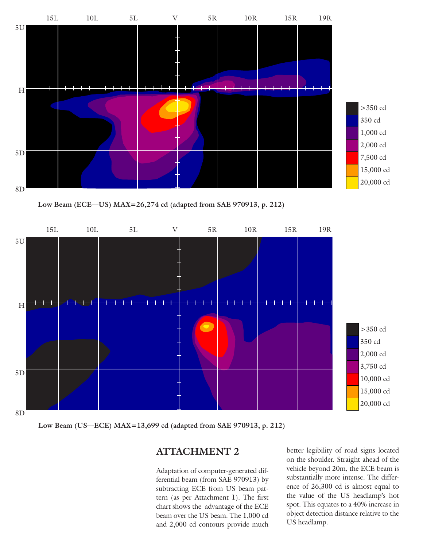

**Low Beam (ECE—US) MAX=26,274 cd (adapted from SAE 970913, p. 212)**



**Low Beam (US—ECE) MAX=13,699 cd (adapted from SAE 970913, p. 212)**

#### **ATTACHMENT 2**

Adaptation of computer-generated differential beam (from SAE 970913) by subtracting ECE from US beam pattern (as per Attachment 1). The first chart shows the advantage of the ECE beam over the US beam. The 1,000 cd and 2,000 cd contours provide much better legibility of road signs located on the shoulder. Straight ahead of the vehicle beyond 20m, the ECE beam is substantially more intense. The difference of 26,300 cd is almost equal to the value of the US headlamp's hot spot. This equates to a 40% increase in object detection distance relative to the US headlamp.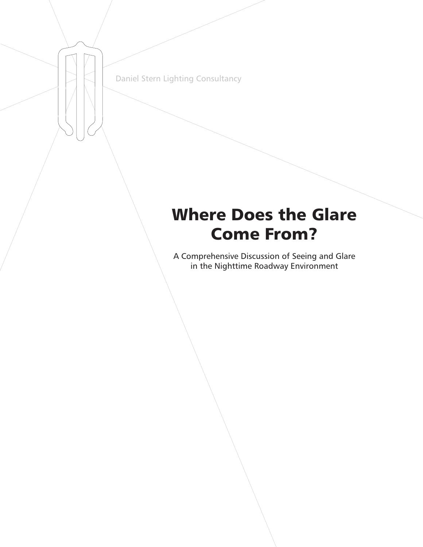Daniel Stern Lighting Consultancy

# Where Does the Glare Come From?

A Comprehensive Discussion of Seeing and Glare in the Nighttime Roadway Environment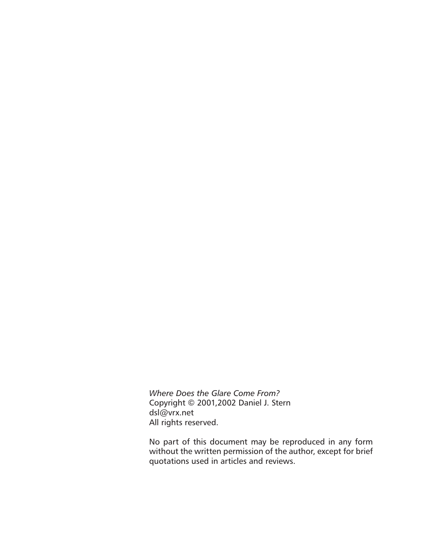*Where Does the Glare Come From?* Copyright © 2001,2002 Daniel J. Stern dsl@vrx.net All rights reserved.

No part of this document may be reproduced in any form without the written permission of the author, except for brief quotations used in articles and reviews.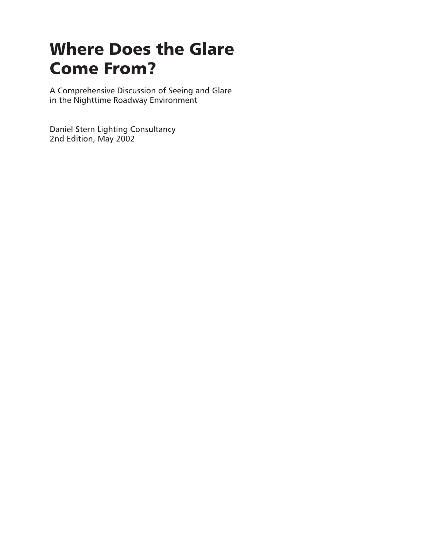# Where Does the Glare Come From?

A Comprehensive Discussion of Seeing and Glare in the Nighttime Roadway Environment

Daniel Stern Lighting Consultancy 2nd Edition, May 2002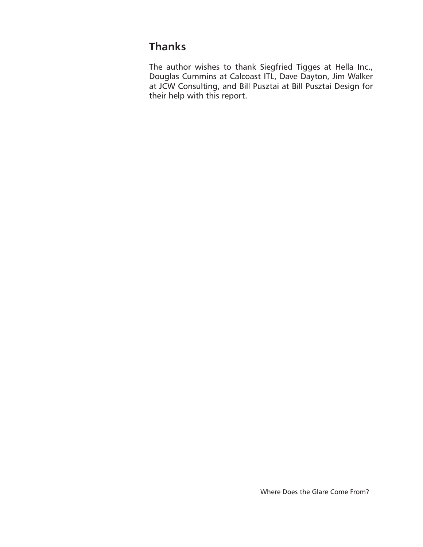# **Thanks**

The author wishes to thank Siegfried Tigges at Hella Inc., Douglas Cummins at Calcoast ITL, Dave Dayton, Jim Walker at JCW Consulting, and Bill Pusztai at Bill Pusztai Design for their help with this report.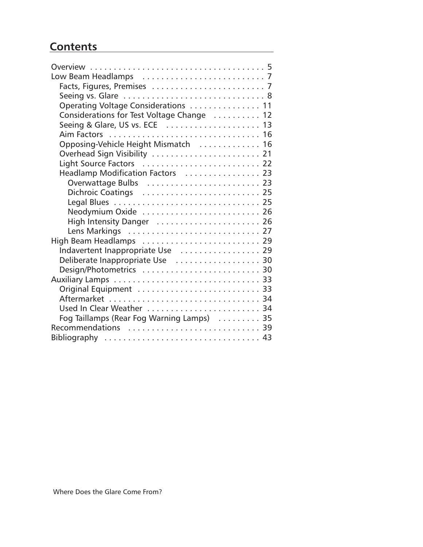# **Contents**

| Operating Voltage Considerations  11       |
|--------------------------------------------|
| Considerations for Test Voltage Change  12 |
| Seeing & Glare, US vs. ECE  13             |
| Aim Factors  16                            |
| Opposing-Vehicle Height Mismatch  16       |
| Overhead Sign Visibility  21               |
|                                            |
| Headlamp Modification Factors  23          |
|                                            |
| Dichroic Coatings  25                      |
|                                            |
| Neodymium Oxide  26                        |
| High Intensity Danger  26                  |
| Lens Markings  27                          |
|                                            |
| Indavertent Inappropriate Use  29          |
| Deliberate Inappropriate Use  30           |
|                                            |
|                                            |
|                                            |
|                                            |
| Used In Clear Weather  34                  |
| Fog Taillamps (Rear Fog Warning Lamps)  35 |
|                                            |
| Bibliography  43                           |

<u> 1980 - Johann Barn, mars an t-Amerikaansk kommunister (</u>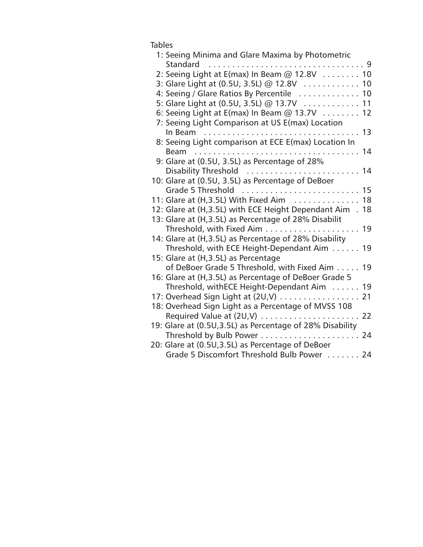Tables

| 1: Seeing Minima and Glare Maxima by Photometric          |    |
|-----------------------------------------------------------|----|
| 2: Seeing Light at E(max) In Beam $@$ 12.8V $\ldots$ 10   |    |
| 3: Glare Light at (0.5U, 3.5L) @ 12.8V 10                 |    |
| 4: Seeing / Glare Ratios By Percentile  10                |    |
| 5: Glare Light at (0.5U, 3.5L) @ 13.7V 11                 |    |
| 6: Seeing Light at E(max) In Beam @ 13.7V 12              |    |
| 7: Seeing Light Comparison at US E(max) Location          |    |
|                                                           |    |
| 8: Seeing Light comparison at ECE E(max) Location In      |    |
| <b>Beam</b>                                               | 14 |
| 9: Glare at (0.5U, 3.5L) as Percentage of 28%             |    |
| Disability Threshold                                      | 14 |
| 10: Glare at (0.5U, 3.5L) as Percentage of DeBoer         |    |
| Grade 5 Threshold  15                                     |    |
| 11: Glare at (H, 3.5L) With Fixed Aim 18                  |    |
| 12: Glare at (H,3.5L) with ECE Height Dependant Aim . 18  |    |
| 13: Glare at (H,3.5L) as Percentage of 28% Disabilit      |    |
|                                                           |    |
| 14: Glare at (H,3.5L) as Percentage of 28% Disability     |    |
| Threshold, with ECE Height-Dependant Aim 19               |    |
| 15: Glare at (H,3.5L) as Percentage                       |    |
| of DeBoer Grade 5 Threshold, with Fixed Aim 19            |    |
| 16: Glare at (H, 3.5L) as Percentage of DeBoer Grade 5    |    |
| Threshold, withECE Height-Dependant Aim 19                |    |
| 17: Overhead Sign Light at (2U, V) 21                     |    |
| 18: Overhead Sign Light as a Percentage of MVSS 108       |    |
|                                                           |    |
| 19: Glare at (0.5U, 3.5L) as Percentage of 28% Disability |    |
| 20: Glare at (0.5U, 3.5L) as Percentage of DeBoer         |    |
| Grade 5 Discomfort Threshold Bulb Power 24                |    |
|                                                           |    |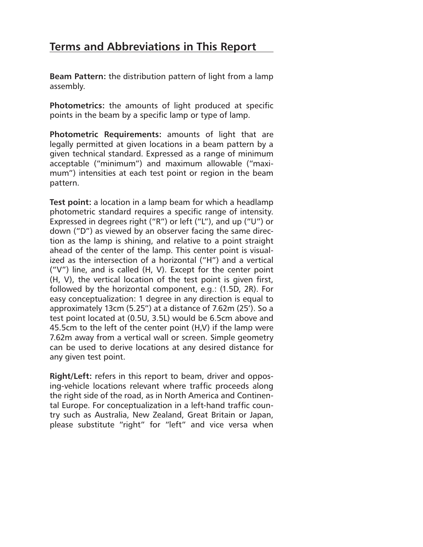# **Terms and Abbreviations in This Report**

**Beam Pattern:** the distribution pattern of light from a lamp assembly.

**Photometrics:** the amounts of light produced at specific points in the beam by a specific lamp or type of lamp.

**Photometric Requirements:** amounts of light that are legally permitted at given locations in a beam pattern by a given technical standard. Expressed as a range of minimum acceptable ("minimum") and maximum allowable ("maximum") intensities at each test point or region in the beam pattern.

**Test point:** a location in a lamp beam for which a headlamp photometric standard requires a specific range of intensity. Expressed in degrees right ("R") or left ("L"), and up ("U") or down ("D") as viewed by an observer facing the same direction as the lamp is shining, and relative to a point straight ahead of the center of the lamp. This center point is visualized as the intersection of a horizontal ("H") and a vertical ("V") line, and is called (H, V). Except for the center point (H, V), the vertical location of the test point is given first, followed by the horizontal component, e.g.: (1.5D, 2R). For easy conceptualization: 1 degree in any direction is equal to approximately 13cm (5.25") at a distance of 7.62m (25'). So a test point located at (0.5U, 3.5L) would be 6.5cm above and 45.5cm to the left of the center point (H,V) if the lamp were 7.62m away from a vertical wall or screen. Simple geometry can be used to derive locations at any desired distance for any given test point.

**Right/Left:** refers in this report to beam, driver and opposing-vehicle locations relevant where traffic proceeds along the right side of the road, as in North America and Continental Europe. For conceptualization in a left-hand traffic country such as Australia, New Zealand, Great Britain or Japan, please substitute "right" for "left" and vice versa when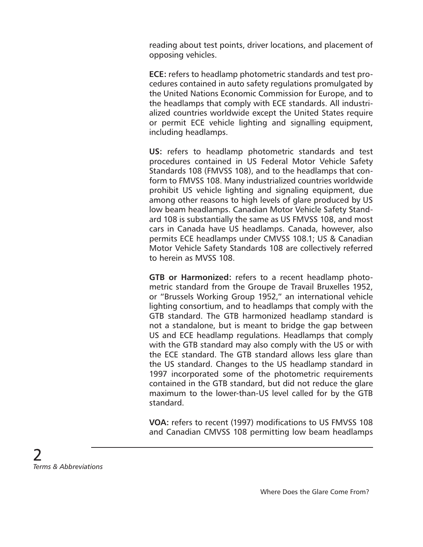reading about test points, driver locations, and placement of opposing vehicles.

**ECE:** refers to headlamp photometric standards and test procedures contained in auto safety regulations promulgated by the United Nations Economic Commission for Europe, and to the headlamps that comply with ECE standards. All industrialized countries worldwide except the United States require or permit ECE vehicle lighting and signalling equipment, including headlamps.

**US:** refers to headlamp photometric standards and test procedures contained in US Federal Motor Vehicle Safety Standards 108 (FMVSS 108), and to the headlamps that conform to FMVSS 108. Many industrialized countries worldwide prohibit US vehicle lighting and signaling equipment, due among other reasons to high levels of glare produced by US low beam headlamps. Canadian Motor Vehicle Safety Standard 108 is substantially the same as US FMVSS 108, and most cars in Canada have US headlamps. Canada, however, also permits ECE headlamps under CMVSS 108.1; US & Canadian Motor Vehicle Safety Standards 108 are collectively referred to herein as MVSS 108.

**GTB or Harmonized:** refers to a recent headlamp photometric standard from the Groupe de Travail Bruxelles 1952, or "Brussels Working Group 1952," an international vehicle lighting consortium, and to headlamps that comply with the GTB standard. The GTB harmonized headlamp standard is not a standalone, but is meant to bridge the gap between US and ECE headlamp regulations. Headlamps that comply with the GTB standard may also comply with the US or with the ECE standard. The GTB standard allows less glare than the US standard. Changes to the US headlamp standard in 1997 incorporated some of the photometric requirements contained in the GTB standard, but did not reduce the glare maximum to the lower-than-US level called for by the GTB standard.

**VOA:** refers to recent (1997) modifications to US FMVSS 108 and Canadian CMVSS 108 permitting low beam headlamps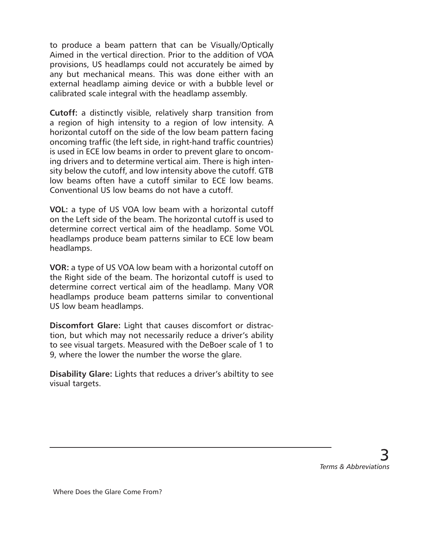to produce a beam pattern that can be Visually/Optically Aimed in the vertical direction. Prior to the addition of VOA provisions, US headlamps could not accurately be aimed by any but mechanical means. This was done either with an external headlamp aiming device or with a bubble level or calibrated scale integral with the headlamp assembly.

**Cutoff:** a distinctly visible, relatively sharp transition from a region of high intensity to a region of low intensity. A horizontal cutoff on the side of the low beam pattern facing oncoming traffic (the left side, in right-hand traffic countries) is used in ECE low beams in order to prevent glare to oncoming drivers and to determine vertical aim. There is high intensity below the cutoff, and low intensity above the cutoff. GTB low beams often have a cutoff similar to ECE low beams. Conventional US low beams do not have a cutoff.

**VOL:** a type of US VOA low beam with a horizontal cutoff on the Left side of the beam. The horizontal cutoff is used to determine correct vertical aim of the headlamp. Some VOL headlamps produce beam patterns similar to ECE low beam headlamps.

**VOR:** a type of US VOA low beam with a horizontal cutoff on the Right side of the beam. The horizontal cutoff is used to determine correct vertical aim of the headlamp. Many VOR headlamps produce beam patterns similar to conventional US low beam headlamps.

**Discomfort Glare:** Light that causes discomfort or distraction, but which may not necessarily reduce a driver's ability to see visual targets. Measured with the DeBoer scale of 1 to 9, where the lower the number the worse the glare.

**Disability Glare:** Lights that reduces a driver's abiltity to see visual targets.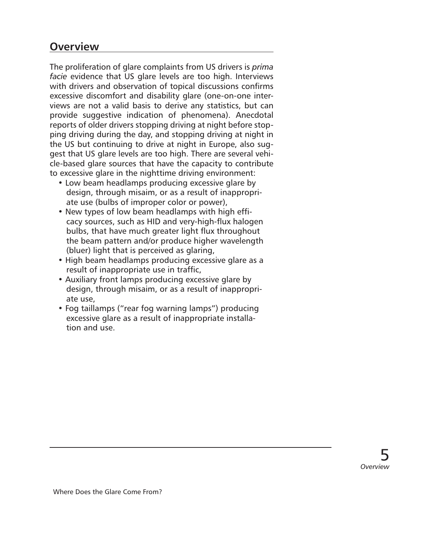# **Overview**

The proliferation of glare complaints from US drivers is *prima facie* evidence that US glare levels are too high. Interviews with drivers and observation of topical discussions confirms excessive discomfort and disability glare (one-on-one interviews are not a valid basis to derive any statistics, but can provide suggestive indication of phenomena). Anecdotal reports of older drivers stopping driving at night before stopping driving during the day, and stopping driving at night in the US but continuing to drive at night in Europe, also suggest that US glare levels are too high. There are several vehicle-based glare sources that have the capacity to contribute to excessive glare in the nighttime driving environment:

- Low beam headlamps producing excessive glare by design, through misaim, or as a result of inappropriate use (bulbs of improper color or power),
- New types of low beam headlamps with high efficacy sources, such as HID and very-high-flux halogen bulbs, that have much greater light flux throughout the beam pattern and/or produce higher wavelength (bluer) light that is perceived as glaring,
- High beam headlamps producing excessive glare as a result of inappropriate use in traffic,
- Auxiliary front lamps producing excessive glare by design, through misaim, or as a result of inappropriate use,
- Fog taillamps ("rear fog warning lamps") producing excessive glare as a result of inappropriate installation and use.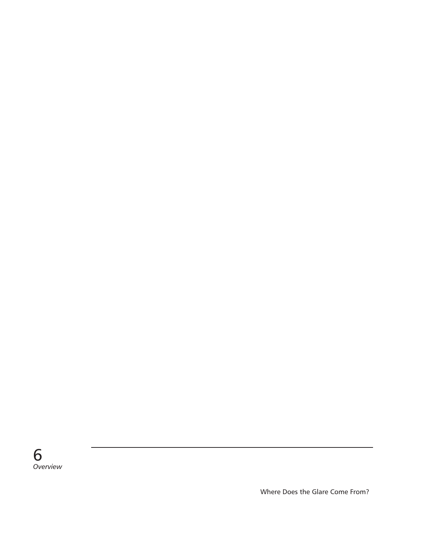Where Does the Glare Come From?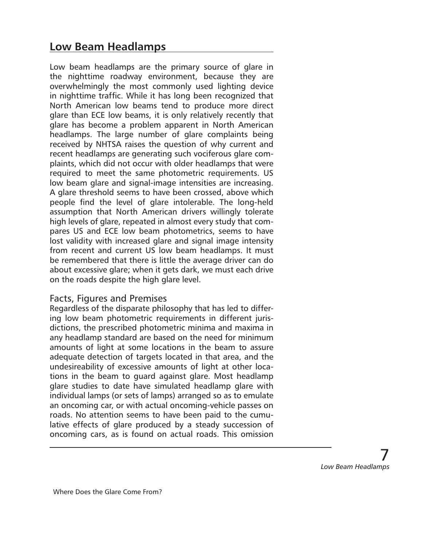# **Low Beam Headlamps**

Low beam headlamps are the primary source of glare in the nighttime roadway environment, because they are overwhelmingly the most commonly used lighting device in nighttime traffic. While it has long been recognized that North American low beams tend to produce more direct glare than ECE low beams, it is only relatively recently that glare has become a problem apparent in North American headlamps. The large number of glare complaints being received by NHTSA raises the question of why current and recent headlamps are generating such vociferous glare complaints, which did not occur with older headlamps that were required to meet the same photometric requirements. US low beam glare and signal-image intensities are increasing. A glare threshold seems to have been crossed, above which people find the level of glare intolerable. The long-held assumption that North American drivers willingly tolerate high levels of glare, repeated in almost every study that compares US and ECE low beam photometrics, seems to have lost validity with increased glare and signal image intensity from recent and current US low beam headlamps. It must be remembered that there is little the average driver can do about excessive glare; when it gets dark, we must each drive on the roads despite the high glare level.

# Facts, Figures and Premises

Regardless of the disparate philosophy that has led to differing low beam photometric requirements in different jurisdictions, the prescribed photometric minima and maxima in any headlamp standard are based on the need for minimum amounts of light at some locations in the beam to assure adequate detection of targets located in that area, and the undesireability of excessive amounts of light at other locations in the beam to guard against glare. Most headlamp glare studies to date have simulated headlamp glare with individual lamps (or sets of lamps) arranged so as to emulate an oncoming car, or with actual oncoming-vehicle passes on roads. No attention seems to have been paid to the cumulative effects of glare produced by a steady succession of oncoming cars, as is found on actual roads. This omission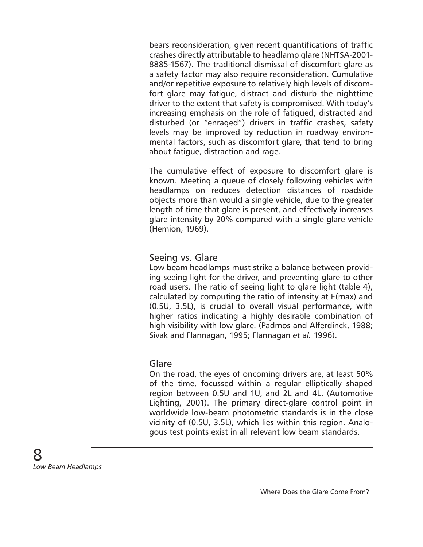bears reconsideration, given recent quantifications of traffic crashes directly attributable to headlamp glare (NHTSA-2001- 8885-1567). The traditional dismissal of discomfort glare as a safety factor may also require reconsideration. Cumulative and/or repetitive exposure to relatively high levels of discomfort glare may fatigue, distract and disturb the nighttime driver to the extent that safety is compromised. With today's increasing emphasis on the role of fatigued, distracted and disturbed (or "enraged") drivers in traffic crashes, safety levels may be improved by reduction in roadway environmental factors, such as discomfort glare, that tend to bring about fatigue, distraction and rage.

The cumulative effect of exposure to discomfort glare is known. Meeting a queue of closely following vehicles with headlamps on reduces detection distances of roadside objects more than would a single vehicle, due to the greater length of time that glare is present, and effectively increases glare intensity by 20% compared with a single glare vehicle (Hemion, 1969).

# Seeing vs. Glare

Low beam headlamps must strike a balance between providing seeing light for the driver, and preventing glare to other road users. The ratio of seeing light to glare light (table 4), calculated by computing the ratio of intensity at E(max) and (0.5U, 3.5L), is crucial to overall visual performance, with higher ratios indicating a highly desirable combination of high visibility with low glare. (Padmos and Alferdinck, 1988; Sivak and Flannagan, 1995; Flannagan *et al.* 1996).

# Glare

On the road, the eyes of oncoming drivers are, at least 50% of the time, focussed within a regular elliptically shaped region between 0.5U and 1U, and 2L and 4L. (Automotive Lighting, 2001). The primary direct-glare control point in worldwide low-beam photometric standards is in the close vicinity of (0.5U, 3.5L), which lies within this region. Analogous test points exist in all relevant low beam standards.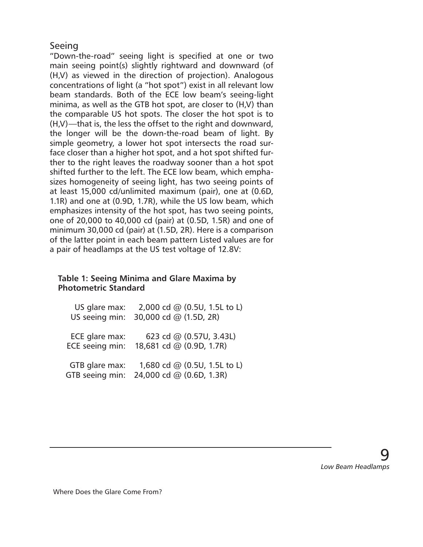# Seeing

"Down-the-road" seeing light is specified at one or two main seeing point(s) slightly rightward and downward (of (H,V) as viewed in the direction of projection). Analogous concentrations of light (a "hot spot") exist in all relevant low beam standards. Both of the ECE low beam's seeing-light minima, as well as the GTB hot spot, are closer to (H,V) than the comparable US hot spots. The closer the hot spot is to (H,V)—that is, the less the offset to the right and downward, the longer will be the down-the-road beam of light. By simple geometry, a lower hot spot intersects the road surface closer than a higher hot spot, and a hot spot shifted further to the right leaves the roadway sooner than a hot spot shifted further to the left. The ECE low beam, which emphasizes homogeneity of seeing light, has two seeing points of at least 15,000 cd/unlimited maximum (pair), one at (0.6D, 1.1R) and one at (0.9D, 1.7R), while the US low beam, which emphasizes intensity of the hot spot, has two seeing points, one of 20,000 to 40,000 cd (pair) at (0.5D, 1.5R) and one of minimum 30,000 cd (pair) at (1.5D, 2R). Here is a comparison of the latter point in each beam pattern Listed values are for a pair of headlamps at the US test voltage of 12.8V:

## **Table 1: Seeing Minima and Glare Maxima by Photometric Standard**

| US glare max:   | 2,000 cd $@$ (0.5U, 1.5L to L)      |
|-----------------|-------------------------------------|
| US seeing min:  | 30,000 cd @ (1.5D, 2R)              |
| ECE glare max:  | 623 cd @ $(0.57U, 3.43L)$           |
| ECE seeing min: | 18,681 cd @ (0.9D, 1.7R)            |
| GTB glare max:  | 1,680 cd $\omega$ (0.5U, 1.5L to L) |
| GTB seeing min: | 24,000 cd @ (0.6D, 1.3R)            |

Where Does the Glare Come From?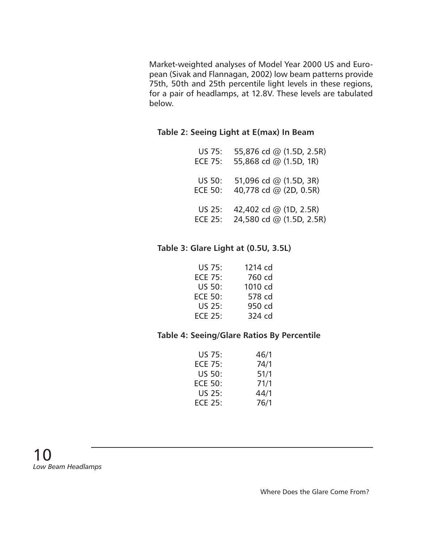Market-weighted analyses of Model Year 2000 US and European (Sivak and Flannagan, 2002) low beam patterns provide 75th, 50th and 25th percentile light levels in these regions, for a pair of headlamps, at 12.8V. These levels are tabulated below.

#### **Table 2: Seeing Light at E(max) In Beam**

US 75: 55,876 cd @ (1.5D, 2.5R) ECE 75: 55,868 cd @ (1.5D, 1R) US 50: 51,096 cd @ (1.5D, 3R) ECE 50: 40,778 cd @ (2D, 0.5R) US 25: 42,402 cd @ (1D, 2.5R) ECE 25: 24,580 cd @ (1.5D, 2.5R)

#### **Table 3: Glare Light at (0.5U, 3.5L)**

| US 75:         | 1214 cd |
|----------------|---------|
| <b>ECE 75:</b> | 760 cd  |
| US 50:         | 1010 cd |
| <b>ECE 50:</b> | 578 cd  |
| US 25:         | 950 cd  |
| <b>ECE 25:</b> | 324 cd  |
|                |         |

# **Table 4: Seeing/Glare Ratios By Percentile**

| US 75:         | 46/1 |
|----------------|------|
| ECE 75:        | 74/1 |
| US 50:         | 51/1 |
| <b>ECE 50:</b> | 71/1 |
| US 25:         | 44/1 |
| <b>ECE 25:</b> | 76/1 |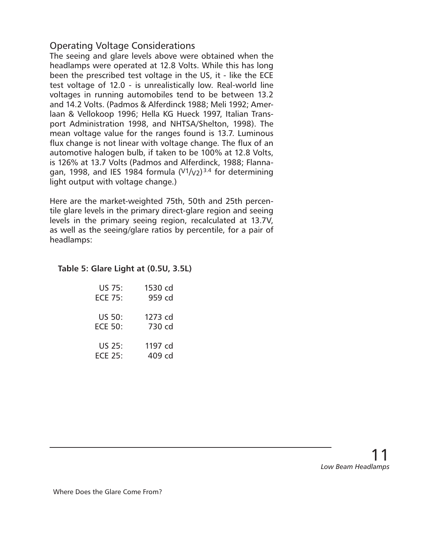# Operating Voltage Considerations

The seeing and glare levels above were obtained when the headlamps were operated at 12.8 Volts. While this has long been the prescribed test voltage in the US, it - like the ECE test voltage of 12.0 - is unrealistically low. Real-world line voltages in running automobiles tend to be between 13.2 and 14.2 Volts. (Padmos & Alferdinck 1988; Meli 1992; Amerlaan & Vellokoop 1996; Hella KG Hueck 1997, Italian Transport Administration 1998, and NHTSA/Shelton, 1998). The mean voltage value for the ranges found is 13.7. Luminous flux change is not linear with voltage change. The flux of an automotive halogen bulb, if taken to be 100% at 12.8 Volts, is 126% at 13.7 Volts (Padmos and Alferdinck, 1988; Flannagan, 1998, and IES 1984 formula  $(V1/\gamma_2)^{3.4}$  for determining light output with voltage change.)

Here are the market-weighted 75th, 50th and 25th percentile glare levels in the primary direct-glare region and seeing levels in the primary seeing region, recalculated at 13.7V, as well as the seeing/glare ratios by percentile, for a pair of headlamps:

#### **Table 5: Glare Light at (0.5U, 3.5L)**

| US 75:    | 1530 cd |
|-----------|---------|
| $FCF$ 75: | 959 cd  |
| US 50:    | 1273 cd |
|           |         |
| ECE 50:   | 730 cd  |
|           |         |
| US 25:    | 1197 cd |
| $FCF$ 25: | 409 cd  |
|           |         |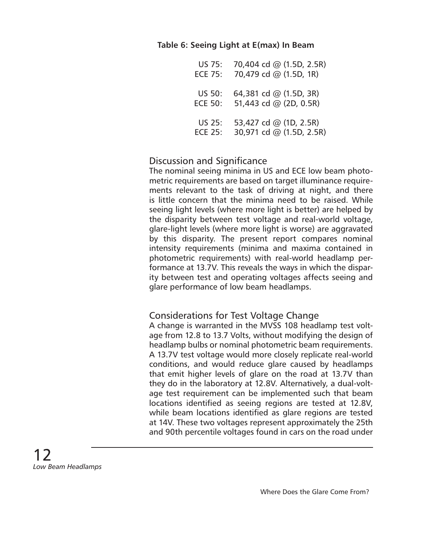### **Table 6: Seeing Light at E(max) In Beam**

US 75: 70,404 cd @ (1.5D, 2.5R) ECE 75: 70,479 cd  $\omega$  (1.5D, 1R) US 50: 64,381 cd @ (1.5D, 3R) ECE 50: 51,443 cd @ (2D, 0.5R) US 25: 53,427 cd @ (1D, 2.5R) ECE 25: 30,971 cd @ (1.5D, 2.5R)

# Discussion and Significance

The nominal seeing minima in US and ECE low beam photometric requirements are based on target illuminance requirements relevant to the task of driving at night, and there is little concern that the minima need to be raised. While seeing light levels (where more light is better) are helped by the disparity between test voltage and real-world voltage, glare-light levels (where more light is worse) are aggravated by this disparity. The present report compares nominal intensity requirements (minima and maxima contained in photometric requirements) with real-world headlamp performance at 13.7V. This reveals the ways in which the disparity between test and operating voltages affects seeing and glare performance of low beam headlamps.

# Considerations for Test Voltage Change

A change is warranted in the MVSS 108 headlamp test voltage from 12.8 to 13.7 Volts, without modifying the design of headlamp bulbs or nominal photometric beam requirements. A 13.7V test voltage would more closely replicate real-world conditions, and would reduce glare caused by headlamps that emit higher levels of glare on the road at 13.7V than they do in the laboratory at 12.8V. Alternatively, a dual-voltage test requirement can be implemented such that beam locations identified as seeing regions are tested at 12.8V, while beam locations identified as glare regions are tested at 14V. These two voltages represent approximately the 25th and 90th percentile voltages found in cars on the road under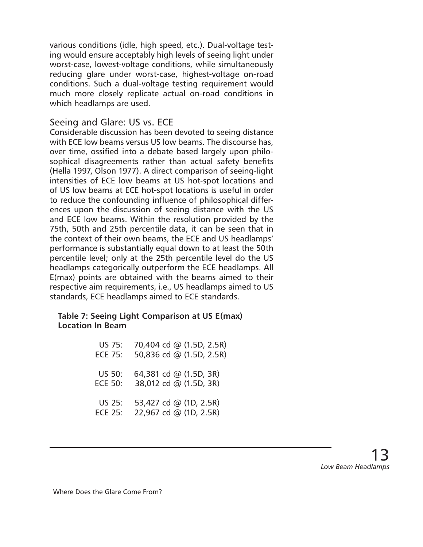various conditions (idle, high speed, etc.). Dual-voltage testing would ensure acceptably high levels of seeing light under worst-case, lowest-voltage conditions, while simultaneously reducing glare under worst-case, highest-voltage on-road conditions. Such a dual-voltage testing requirement would much more closely replicate actual on-road conditions in which headlamps are used.

# Seeing and Glare: US vs. ECE

Considerable discussion has been devoted to seeing distance with ECE low beams versus US low beams. The discourse has, over time, ossified into a debate based largely upon philosophical disagreements rather than actual safety benefits (Hella 1997, Olson 1977). A direct comparison of seeing-light intensities of ECE low beams at US hot-spot locations and of US low beams at ECE hot-spot locations is useful in order to reduce the confounding influence of philosophical differences upon the discussion of seeing distance with the US and ECE low beams. Within the resolution provided by the 75th, 50th and 25th percentile data, it can be seen that in the context of their own beams, the ECE and US headlamps' performance is substantially equal down to at least the 50th percentile level; only at the 25th percentile level do the US headlamps categorically outperform the ECE headlamps. All E(max) points are obtained with the beams aimed to their respective aim requirements, i.e., US headlamps aimed to US standards, ECE headlamps aimed to ECE standards.

#### **Table 7: Seeing Light Comparison at US E(max) Location In Beam**

| US 75:         | 70,404 cd @ (1.5D, 2.5R) |
|----------------|--------------------------|
| <b>ECE 75:</b> | 50,836 cd @ (1.5D, 2.5R) |
| <b>US 50:</b>  | 64,381 cd $@(1.5D, 3R)$  |
| <b>ECE 50:</b> | 38,012 cd @ (1.5D, 3R)   |
| <b>US 25:</b>  | 53,427 cd @ (1D, 2.5R)   |
| <b>ECE 25:</b> | 22,967 cd @ (1D, 2.5R)   |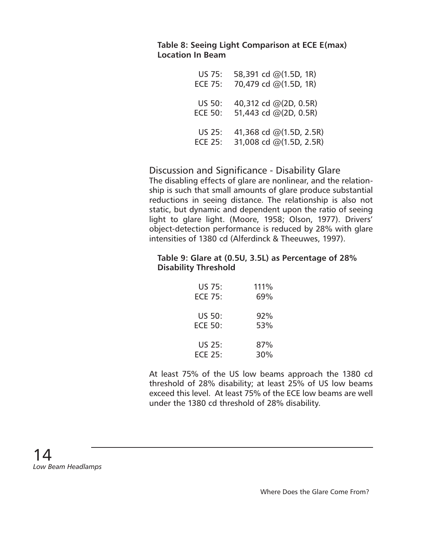# **Table 8: Seeing Light Comparison at ECE E(max) Location In Beam**

| US 75:         | 58,391 cd @(1.5D, 1R)   |
|----------------|-------------------------|
| <b>ECE 75:</b> | 70,479 cd @(1.5D, 1R)   |
| <b>US 50:</b>  | 40,312 cd @(2D, 0.5R)   |
| <b>ECE 50:</b> | 51,443 cd @(2D, 0.5R)   |
| <b>US 25:</b>  | 41,368 cd @(1.5D, 2.5R) |
| <b>ECE 25:</b> | 31,008 cd @(1.5D, 2.5R) |

# Discussion and Significance - Disability Glare

The disabling effects of glare are nonlinear, and the relationship is such that small amounts of glare produce substantial reductions in seeing distance. The relationship is also not static, but dynamic and dependent upon the ratio of seeing light to glare light. (Moore, 1958; Olson, 1977). Drivers' object-detection performance is reduced by 28% with glare intensities of 1380 cd (Alferdinck & Theeuwes, 1997).

## **Table 9: Glare at (0.5U, 3.5L) as Percentage of 28% Disability Threshold**

| US 75:         | <b>111%</b> |
|----------------|-------------|
| <b>ECE 75:</b> | 69%         |
| US 50:         | 92%         |
| <b>ECE 50:</b> | 53%         |
| US 25:         | 87%         |
| <b>ECE 25:</b> | 30%         |

At least 75% of the US low beams approach the 1380 cd threshold of 28% disability; at least 25% of US low beams exceed this level. At least 75% of the ECE low beams are well under the 1380 cd threshold of 28% disability.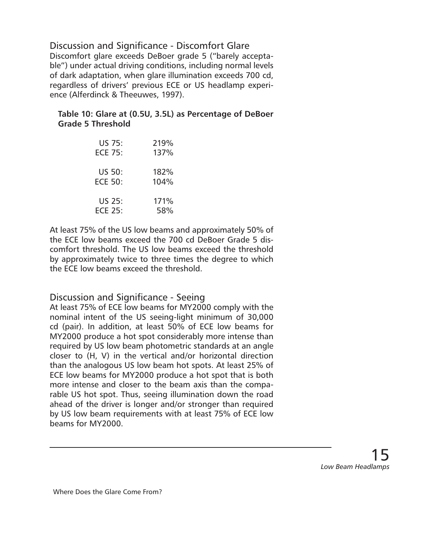Discussion and Significance - Discomfort Glare Discomfort glare exceeds DeBoer grade 5 ("barely acceptable") under actual driving conditions, including normal levels of dark adaptation, when glare illumination exceeds 700 cd, regardless of drivers' previous ECE or US headlamp experience (Alferdinck & Theeuwes, 1997).

## **Table 10: Glare at (0.5U, 3.5L) as Percentage of DeBoer Grade 5 Threshold**

| US 75:         | 219% |
|----------------|------|
| <b>ECE 75:</b> | 137% |
| US 50:         | 182% |
| <b>ECE 50:</b> | 104% |
| US 25:         | 171% |
| <b>ECE 25:</b> | 58%  |

At least 75% of the US low beams and approximately 50% of the ECE low beams exceed the 700 cd DeBoer Grade 5 discomfort threshold. The US low beams exceed the threshold by approximately twice to three times the degree to which the ECE low beams exceed the threshold.

# Discussion and Significance - Seeing

At least 75% of ECE low beams for MY2000 comply with the nominal intent of the US seeing-light minimum of 30,000 cd (pair). In addition, at least 50% of ECE low beams for MY2000 produce a hot spot considerably more intense than required by US low beam photometric standards at an angle closer to (H, V) in the vertical and/or horizontal direction than the analogous US low beam hot spots. At least 25% of ECE low beams for MY2000 produce a hot spot that is both more intense and closer to the beam axis than the comparable US hot spot. Thus, seeing illumination down the road ahead of the driver is longer and/or stronger than required by US low beam requirements with at least 75% of ECE low beams for MY2000.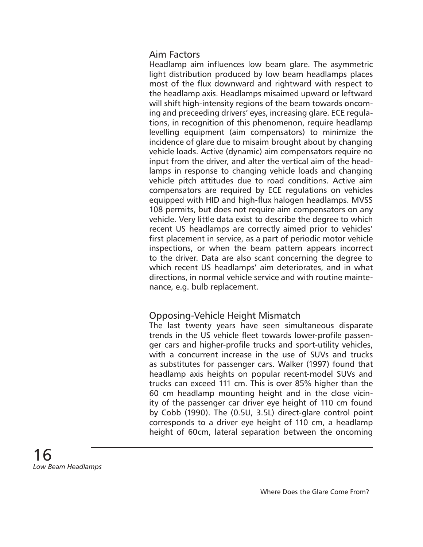# Aim Factors

Headlamp aim influences low beam glare. The asymmetric light distribution produced by low beam headlamps places most of the flux downward and rightward with respect to the headlamp axis. Headlamps misaimed upward or leftward will shift high-intensity regions of the beam towards oncoming and preceeding drivers' eyes, increasing glare. ECE regulations, in recognition of this phenomenon, require headlamp levelling equipment (aim compensators) to minimize the incidence of glare due to misaim brought about by changing vehicle loads. Active (dynamic) aim compensators require no input from the driver, and alter the vertical aim of the headlamps in response to changing vehicle loads and changing vehicle pitch attitudes due to road conditions. Active aim compensators are required by ECE regulations on vehicles equipped with HID and high-flux halogen headlamps. MVSS 108 permits, but does not require aim compensators on any vehicle. Very little data exist to describe the degree to which recent US headlamps are correctly aimed prior to vehicles' first placement in service, as a part of periodic motor vehicle inspections, or when the beam pattern appears incorrect to the driver. Data are also scant concerning the degree to which recent US headlamps' aim deteriorates, and in what directions, in normal vehicle service and with routine maintenance, e.g. bulb replacement.

# Opposing-Vehicle Height Mismatch

The last twenty years have seen simultaneous disparate trends in the US vehicle fleet towards lower-profile passenger cars and higher-profile trucks and sport-utility vehicles, with a concurrent increase in the use of SUVs and trucks as substitutes for passenger cars. Walker (1997) found that headlamp axis heights on popular recent-model SUVs and trucks can exceed 111 cm. This is over 85% higher than the 60 cm headlamp mounting height and in the close vicinity of the passenger car driver eye height of 110 cm found by Cobb (1990). The (0.5U, 3.5L) direct-glare control point corresponds to a driver eye height of 110 cm, a headlamp height of 60cm, lateral separation between the oncoming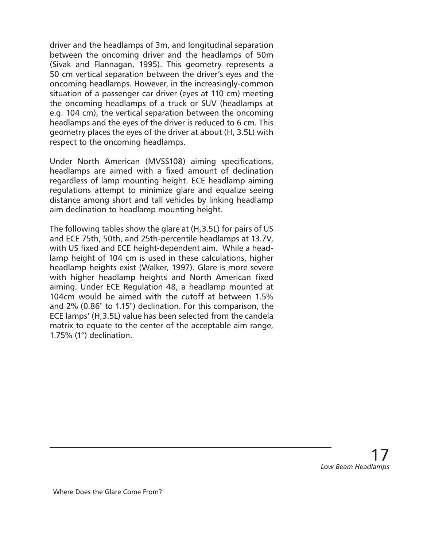driver and the headlamps of 3m, and longitudinal separation between the oncoming driver and the headlamps of 50m (Sivak and Flannagan, 1995). This geometry represents a 50 cm vertical separation between the driver's eyes and the oncoming headlamps. However, in the increasingly-common situation of a passenger car driver (eyes at 110 cm) meeting the oncoming headlamps of a truck or SUV (headlamps at e.g. 104 cm), the vertical separation between the oncoming headlamps and the eyes of the driver is reduced to 6 cm. This geometry places the eyes of the driver at about (H, 3.5L) with respect to the oncoming headlamps.

Under North American (MVSS108) aiming specifications, headlamps are aimed with a fixed amount of declination regardless of lamp mounting height. ECE headlamp aiming regulations attempt to minimize glare and equalize seeing distance among short and tall vehicles by linking headlamp aim declination to headlamp mounting height.

The following tables show the glare at (H,3.5L) for pairs of US and ECE 75th, 50th, and 25th-percentile headlamps at 13.7V, with US fixed and ECE height-dependent aim. While a headlamp height of 104 cm is used in these calculations, higher headlamp heights exist (Walker, 1997). Glare is more severe with higher headlamp heights and North American fixed aiming. Under ECE Regulation 48, a headlamp mounted at 104cm would be aimed with the cutoff at between 1.5% and 2% (0.86° to 1.15°) declination. For this comparison, the ECE lamps' (H,3.5L) value has been selected from the candela matrix to equate to the center of the acceptable aim range, 1.75% (1°) declination.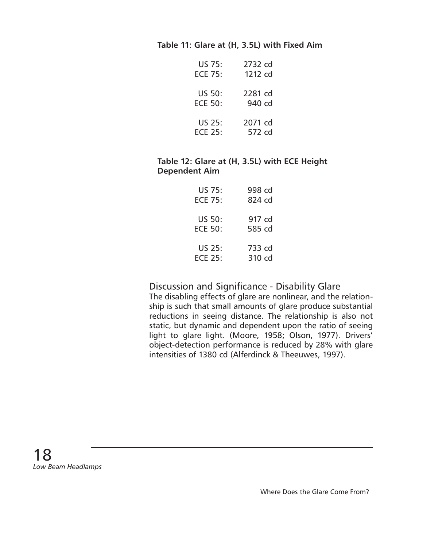| US 75:           | 2732 cd |
|------------------|---------|
| <b>ECE 75:</b>   | 1212 cd |
| US 50:           | 2281 cd |
| <b>ECE 50:</b>   | 940 cd  |
| US 25:           | 2071 cd |
| $FCF$ 25 $\cdot$ | 572 cd  |

### **Table 12: Glare at (H, 3.5L) with ECE Height Dependent Aim**

| US 75:         | 998 cd |
|----------------|--------|
| FCF 75.        | 824 cd |
| US 50:         | 917 cd |
| <b>ECE 50:</b> | 585 cd |
| US 25:         | 733 cd |
| <b>ECE 25:</b> | 310 cd |

#### Discussion and Significance - Disability Glare

The disabling effects of glare are nonlinear, and the relationship is such that small amounts of glare produce substantial reductions in seeing distance. The relationship is also not static, but dynamic and dependent upon the ratio of seeing light to glare light. (Moore, 1958; Olson, 1977). Drivers' object-detection performance is reduced by 28% with glare intensities of 1380 cd (Alferdinck & Theeuwes, 1997).

Where Does the Glare Come From?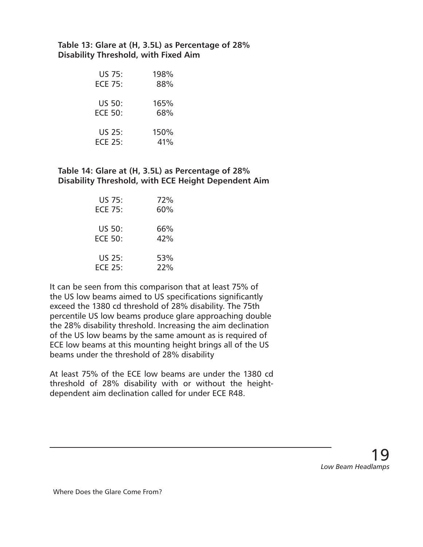## **Table 13: Glare at (H, 3.5L) as Percentage of 28% Disability Threshold, with Fixed Aim**

| US 75:           | 198% |
|------------------|------|
| <b>ECE 75:</b>   | 88%  |
| US 50:           | 165% |
| <b>ECE 50:</b>   | 68%  |
| US 25:           | 150% |
| $FCF$ 25 $\cdot$ | 41%  |

#### **Table 14: Glare at (H, 3.5L) as Percentage of 28% Disability Threshold, with ECE Height Dependent Aim**

| US 75:         | 72% |
|----------------|-----|
| <b>ECE 75:</b> | 60% |
| US 50:         | 66% |
| <b>ECE 50:</b> | 42% |
| US 25:         | 53% |
| <b>FCE 25:</b> | 22% |

It can be seen from this comparison that at least 75% of the US low beams aimed to US specifications significantly exceed the 1380 cd threshold of 28% disability. The 75th percentile US low beams produce glare approaching double the 28% disability threshold. Increasing the aim declination of the US low beams by the same amount as is required of ECE low beams at this mounting height brings all of the US beams under the threshold of 28% disability

At least 75% of the ECE low beams are under the 1380 cd threshold of 28% disability with or without the heightdependent aim declination called for under ECE R48.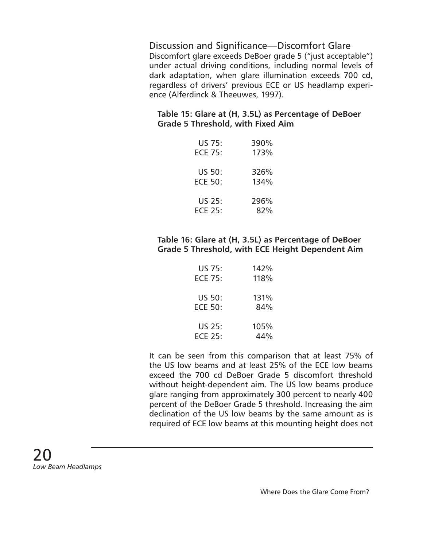Discussion and Significance—Discomfort Glare Discomfort glare exceeds DeBoer grade 5 ("just acceptable") under actual driving conditions, including normal levels of dark adaptation, when glare illumination exceeds 700 cd, regardless of drivers' previous ECE or US headlamp experience (Alferdinck & Theeuwes, 1997).

#### **Table 15: Glare at (H, 3.5L) as Percentage of DeBoer Grade 5 Threshold, with Fixed Aim**

| US 75:         | 390 <sup>%</sup> |
|----------------|------------------|
| <b>ECE 75:</b> | 173%             |
| US 50:         | 326%             |
| <b>ECE 50:</b> | 134%             |
| US 25:         | 296%             |
| ECE 25:        | 82%              |

## **Table 16: Glare at (H, 3.5L) as Percentage of DeBoer Grade 5 Threshold, with ECE Height Dependent Aim**

| US 75:         | 142% |
|----------------|------|
| FCF 75:        | 118% |
| US 50:         | 131% |
| ECE 50:        | 84%  |
| US 25:         | 105% |
| <b>ECE 25:</b> | 44%  |

It can be seen from this comparison that at least 75% of the US low beams and at least 25% of the ECE low beams exceed the 700 cd DeBoer Grade 5 discomfort threshold without height-dependent aim. The US low beams produce glare ranging from approximately 300 percent to nearly 400 percent of the DeBoer Grade 5 threshold. Increasing the aim declination of the US low beams by the same amount as is required of ECE low beams at this mounting height does not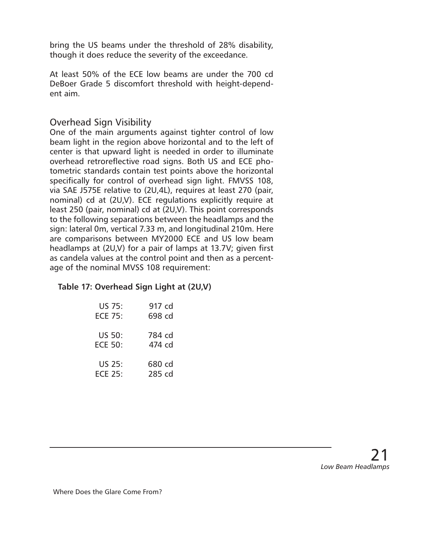bring the US beams under the threshold of 28% disability, though it does reduce the severity of the exceedance.

At least 50% of the ECE low beams are under the 700 cd DeBoer Grade 5 discomfort threshold with height-dependent aim.

# Overhead Sign Visibility

One of the main arguments against tighter control of low beam light in the region above horizontal and to the left of center is that upward light is needed in order to illuminate overhead retroreflective road signs. Both US and ECE photometric standards contain test points above the horizontal specifically for control of overhead sign light. FMVSS 108, via SAE J575E relative to (2U,4L), requires at least 270 (pair, nominal) cd at (2U,V). ECE regulations explicitly require at least 250 (pair, nominal) cd at (2U,V). This point corresponds to the following separations between the headlamps and the sign: lateral 0m, vertical 7.33 m, and longitudinal 210m. Here are comparisons between MY2000 ECE and US low beam headlamps at (2U,V) for a pair of lamps at 13.7V; given first as candela values at the control point and then as a percentage of the nominal MVSS 108 requirement:

# **Table 17: Overhead Sign Light at (2U,V)**

| US 75:         | 917 cd |
|----------------|--------|
| $FCF$ 75:      | 698 cd |
| US 50:         | 784 cd |
| <b>ECE 50:</b> | 474 cd |
| US 25:         | 680 cd |
| FCF 25:        | 285 cd |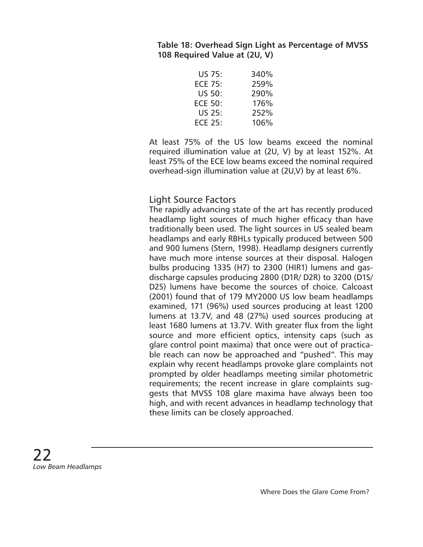# **Table 18: Overhead Sign Light as Percentage of MVSS 108 Required Value at (2U, V)**

| US 75:         | 340% |
|----------------|------|
| ECE 75:        | 259% |
| US 50:         | 290% |
| <b>ECE 50:</b> | 176% |
| US 25:         | 252% |
| <b>ECE 25:</b> | 106% |

At least 75% of the US low beams exceed the nominal required illumination value at (2U, V) by at least 152%. At least 75% of the ECE low beams exceed the nominal required overhead-sign illumination value at (2U,V) by at least 6%.

# Light Source Factors

The rapidly advancing state of the art has recently produced headlamp light sources of much higher efficacy than have traditionally been used. The light sources in US sealed beam headlamps and early RBHLs typically produced between 500 and 900 lumens (Stern, 1998). Headlamp designers currently have much more intense sources at their disposal. Halogen bulbs producing 1335 (H7) to 2300 (HIR1) lumens and gasdischarge capsules producing 2800 (D1R/ D2R) to 3200 (D1S/ D2S) lumens have become the sources of choice. Calcoast (2001) found that of 179 MY2000 US low beam headlamps examined, 171 (96%) used sources producing at least 1200 lumens at 13.7V, and 48 (27%) used sources producing at least 1680 lumens at 13.7V. With greater flux from the light source and more efficient optics, intensity caps (such as glare control point maxima) that once were out of practicable reach can now be approached and "pushed". This may explain why recent headlamps provoke glare complaints not prompted by older headlamps meeting similar photometric requirements; the recent increase in glare complaints suggests that MVSS 108 glare maxima have always been too high, and with recent advances in headlamp technology that these limits can be closely approached.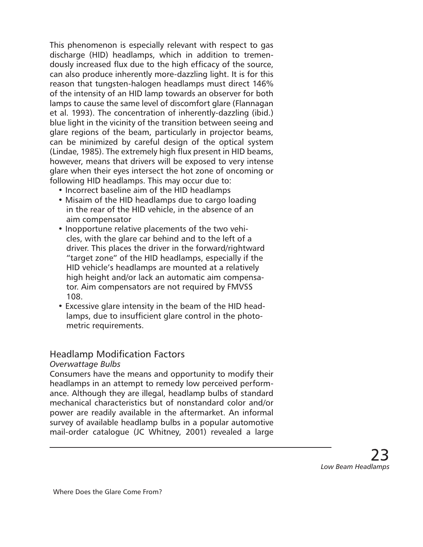This phenomenon is especially relevant with respect to gas discharge (HID) headlamps, which in addition to tremendously increased flux due to the high efficacy of the source, can also produce inherently more-dazzling light. It is for this reason that tungsten-halogen headlamps must direct 146% of the intensity of an HID lamp towards an observer for both lamps to cause the same level of discomfort glare (Flannagan et al. 1993). The concentration of inherently-dazzling (ibid.) blue light in the vicinity of the transition between seeing and glare regions of the beam, particularly in projector beams, can be minimized by careful design of the optical system (Lindae, 1985). The extremely high flux present in HID beams, however, means that drivers will be exposed to very intense glare when their eyes intersect the hot zone of oncoming or following HID headlamps. This may occur due to:

- Incorrect baseline aim of the HID headlamps
- Misaim of the HID headlamps due to cargo loading in the rear of the HID vehicle, in the absence of an aim compensator
- Inopportune relative placements of the two vehicles, with the glare car behind and to the left of a driver. This places the driver in the forward/rightward "target zone" of the HID headlamps, especially if the HID vehicle's headlamps are mounted at a relatively high height and/or lack an automatic aim compensator. Aim compensators are not required by FMVSS 108.
- Excessive glare intensity in the beam of the HID headlamps, due to insufficient glare control in the photometric requirements.

# Headlamp Modification Factors

*Overwattage Bulbs* 

Consumers have the means and opportunity to modify their headlamps in an attempt to remedy low perceived performance. Although they are illegal, headlamp bulbs of standard mechanical characteristics but of nonstandard color and/or power are readily available in the aftermarket. An informal survey of available headlamp bulbs in a popular automotive mail-order catalogue (JC Whitney, 2001) revealed a large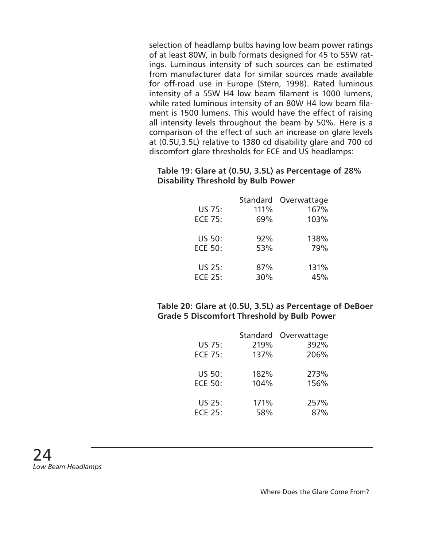selection of headlamp bulbs having low beam power ratings of at least 80W, in bulb formats designed for 45 to 55W ratings. Luminous intensity of such sources can be estimated from manufacturer data for similar sources made available for off-road use in Europe (Stern, 1998). Rated luminous intensity of a 55W H4 low beam filament is 1000 lumens, while rated luminous intensity of an 80W H4 low beam filament is 1500 lumens. This would have the effect of raising all intensity levels throughout the beam by 50%. Here is a comparison of the effect of such an increase on glare levels at (0.5U,3.5L) relative to 1380 cd disability glare and 700 cd discomfort glare thresholds for ECE and US headlamps:

#### **Table 19: Glare at (0.5U, 3.5L) as Percentage of 28% Disability Threshold by Bulb Power**

|                |      | Standard Overwattage |
|----------------|------|----------------------|
| <b>US 75:</b>  | 111% | 167%                 |
| <b>ECE 75:</b> | 69%  | 103%                 |
| US 50:         | 92%  | 138%                 |
| <b>ECE 50:</b> | 53%  | 79%                  |
| <b>US 25:</b>  | 87%  | 131%                 |
| <b>ECE 25:</b> | 30%  | 45%                  |

#### **Table 20: Glare at (0.5U, 3.5L) as Percentage of DeBoer Grade 5 Discomfort Threshold by Bulb Power**

| US 75:<br><b>ECE 75:</b> | 219%<br>137% | Standard Overwattage<br>392%<br>206% |
|--------------------------|--------------|--------------------------------------|
| <b>US 50:</b>            | 182%         | 273%                                 |
| <b>ECE 50:</b>           | 104%         | 156%                                 |
| <b>US 25:</b>            | 171%         | 257%                                 |
| <b>ECE 25:</b>           | 58%          | 87%                                  |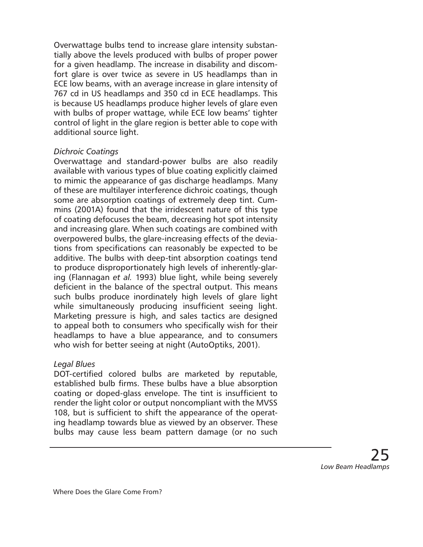Overwattage bulbs tend to increase glare intensity substantially above the levels produced with bulbs of proper power for a given headlamp. The increase in disability and discomfort glare is over twice as severe in US headlamps than in ECE low beams, with an average increase in glare intensity of 767 cd in US headlamps and 350 cd in ECE headlamps. This is because US headlamps produce higher levels of glare even with bulbs of proper wattage, while ECE low beams' tighter control of light in the glare region is better able to cope with additional source light.

#### *Dichroic Coatings*

Overwattage and standard-power bulbs are also readily available with various types of blue coating explicitly claimed to mimic the appearance of gas discharge headlamps. Many of these are multilayer interference dichroic coatings, though some are absorption coatings of extremely deep tint. Cummins (2001A) found that the irridescent nature of this type of coating defocuses the beam, decreasing hot spot intensity and increasing glare. When such coatings are combined with overpowered bulbs, the glare-increasing effects of the deviations from specifications can reasonably be expected to be additive. The bulbs with deep-tint absorption coatings tend to produce disproportionately high levels of inherently-glaring (Flannagan *et al.* 1993) blue light, while being severely deficient in the balance of the spectral output. This means such bulbs produce inordinately high levels of glare light while simultaneously producing insufficient seeing light. Marketing pressure is high, and sales tactics are designed to appeal both to consumers who specifically wish for their headlamps to have a blue appearance, and to consumers who wish for better seeing at night (AutoOptiks, 2001).

#### *Legal Blues*

DOT-certified colored bulbs are marketed by reputable, established bulb firms. These bulbs have a blue absorption coating or doped-glass envelope. The tint is insufficient to render the light color or output noncompliant with the MVSS 108, but is sufficient to shift the appearance of the operating headlamp towards blue as viewed by an observer. These bulbs may cause less beam pattern damage (or no such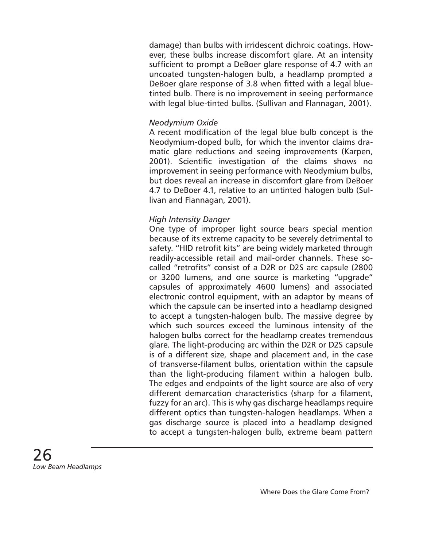damage) than bulbs with irridescent dichroic coatings. However, these bulbs increase discomfort glare. At an intensity sufficient to prompt a DeBoer glare response of 4.7 with an uncoated tungsten-halogen bulb, a headlamp prompted a DeBoer glare response of 3.8 when fitted with a legal bluetinted bulb. There is no improvement in seeing performance with legal blue-tinted bulbs. (Sullivan and Flannagan, 2001).

### *Neodymium Oxide*

A recent modification of the legal blue bulb concept is the Neodymium-doped bulb, for which the inventor claims dramatic glare reductions and seeing improvements (Karpen, 2001). Scientific investigation of the claims shows no improvement in seeing performance with Neodymium bulbs, but does reveal an increase in discomfort glare from DeBoer 4.7 to DeBoer 4.1, relative to an untinted halogen bulb (Sullivan and Flannagan, 2001).

## *High Intensity Danger*

One type of improper light source bears special mention because of its extreme capacity to be severely detrimental to safety. "HID retrofit kits" are being widely marketed through readily-accessible retail and mail-order channels. These socalled "retrofits" consist of a D2R or D2S arc capsule (2800 or 3200 lumens, and one source is marketing "upgrade" capsules of approximately 4600 lumens) and associated electronic control equipment, with an adaptor by means of which the capsule can be inserted into a headlamp designed to accept a tungsten-halogen bulb. The massive degree by which such sources exceed the luminous intensity of the halogen bulbs correct for the headlamp creates tremendous glare. The light-producing arc within the D2R or D2S capsule is of a different size, shape and placement and, in the case of transverse-filament bulbs, orientation within the capsule than the light-producing filament within a halogen bulb. The edges and endpoints of the light source are also of very different demarcation characteristics (sharp for a filament, fuzzy for an arc). This is why gas discharge headlamps require different optics than tungsten-halogen headlamps. When a gas discharge source is placed into a headlamp designed to accept a tungsten-halogen bulb, extreme beam pattern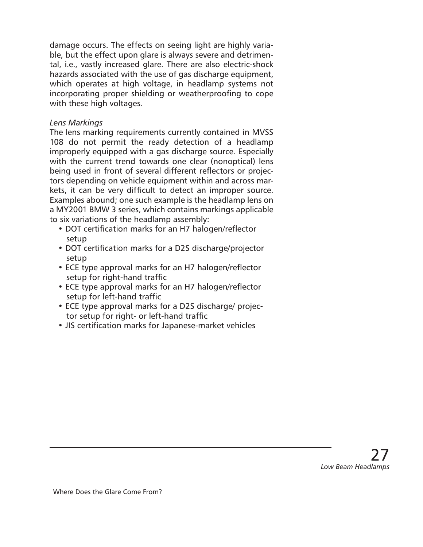damage occurs. The effects on seeing light are highly variable, but the effect upon glare is always severe and detrimental, i.e., vastly increased glare. There are also electric-shock hazards associated with the use of gas discharge equipment, which operates at high voltage, in headlamp systems not incorporating proper shielding or weatherproofing to cope with these high voltages.

#### *Lens Markings*

The lens marking requirements currently contained in MVSS 108 do not permit the ready detection of a headlamp improperly equipped with a gas discharge source. Especially with the current trend towards one clear (nonoptical) lens being used in front of several different reflectors or projectors depending on vehicle equipment within and across markets, it can be very difficult to detect an improper source. Examples abound; one such example is the headlamp lens on a MY2001 BMW 3 series, which contains markings applicable to six variations of the headlamp assembly:

- DOT certification marks for an H7 halogen/reflector setup
- DOT certification marks for a D2S discharge/projector setup
- ECE type approval marks for an H7 halogen/reflector setup for right-hand traffic
- ECE type approval marks for an H7 halogen/reflector setup for left-hand traffic
- ECE type approval marks for a D2S discharge/ projector setup for right- or left-hand traffic
- JIS certification marks for Japanese-market vehicles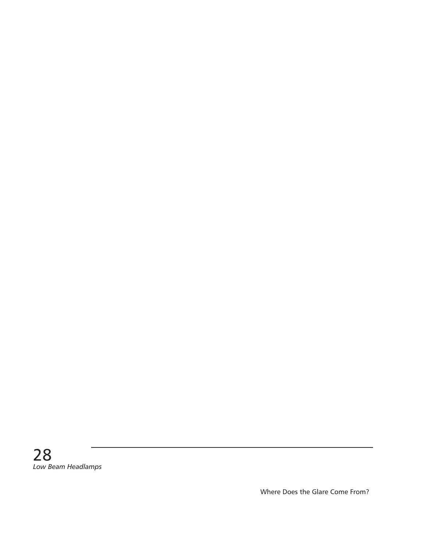Where Does the Glare Come From?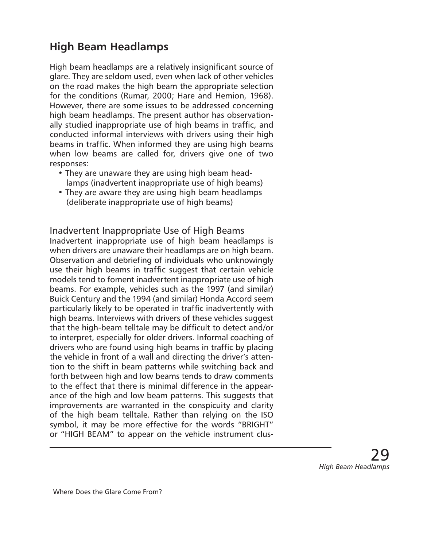# **High Beam Headlamps**

High beam headlamps are a relatively insignificant source of glare. They are seldom used, even when lack of other vehicles on the road makes the high beam the appropriate selection for the conditions (Rumar, 2000; Hare and Hemion, 1968). However, there are some issues to be addressed concerning high beam headlamps. The present author has observationally studied inappropriate use of high beams in traffic, and conducted informal interviews with drivers using their high beams in traffic. When informed they are using high beams when low beams are called for, drivers give one of two responses:

- They are unaware they are using high beam headlamps (inadvertent inappropriate use of high beams)
- They are aware they are using high beam headlamps (deliberate inappropriate use of high beams)

# Inadvertent Inappropriate Use of High Beams

Inadvertent inappropriate use of high beam headlamps is when drivers are unaware their headlamps are on high beam. Observation and debriefing of individuals who unknowingly use their high beams in traffic suggest that certain vehicle models tend to foment inadvertent inappropriate use of high beams. For example, vehicles such as the 1997 (and similar) Buick Century and the 1994 (and similar) Honda Accord seem particularly likely to be operated in traffic inadvertently with high beams. Interviews with drivers of these vehicles suggest that the high-beam telltale may be difficult to detect and/or to interpret, especially for older drivers. Informal coaching of drivers who are found using high beams in traffic by placing the vehicle in front of a wall and directing the driver's attention to the shift in beam patterns while switching back and forth between high and low beams tends to draw comments to the effect that there is minimal difference in the appearance of the high and low beam patterns. This suggests that improvements are warranted in the conspicuity and clarity of the high beam telltale. Rather than relying on the ISO symbol, it may be more effective for the words "BRIGHT" or "HIGH BEAM" to appear on the vehicle instrument clus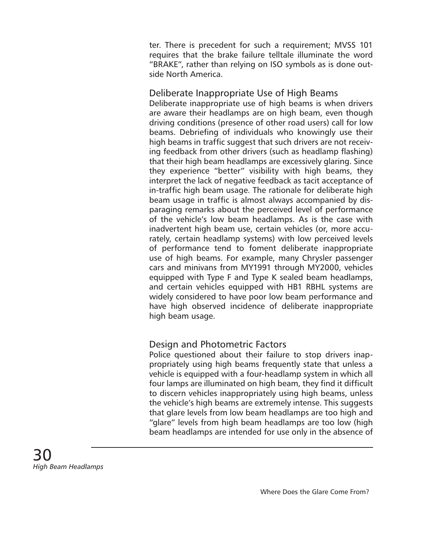ter. There is precedent for such a requirement; MVSS 101 requires that the brake failure telltale illuminate the word "BRAKE", rather than relying on ISO symbols as is done outside North America.

# Deliberate Inappropriate Use of High Beams

Deliberate inappropriate use of high beams is when drivers are aware their headlamps are on high beam, even though driving conditions (presence of other road users) call for low beams. Debriefing of individuals who knowingly use their high beams in traffic suggest that such drivers are not receiving feedback from other drivers (such as headlamp flashing) that their high beam headlamps are excessively glaring. Since they experience "better" visibility with high beams, they interpret the lack of negative feedback as tacit acceptance of in-traffic high beam usage. The rationale for deliberate high beam usage in traffic is almost always accompanied by disparaging remarks about the perceived level of performance of the vehicle's low beam headlamps. As is the case with inadvertent high beam use, certain vehicles (or, more accurately, certain headlamp systems) with low perceived levels of performance tend to foment deliberate inappropriate use of high beams. For example, many Chrysler passenger cars and minivans from MY1991 through MY2000, vehicles equipped with Type F and Type K sealed beam headlamps, and certain vehicles equipped with HB1 RBHL systems are widely considered to have poor low beam performance and have high observed incidence of deliberate inappropriate high beam usage.

# Design and Photometric Factors

Police questioned about their failure to stop drivers inappropriately using high beams frequently state that unless a vehicle is equipped with a four-headlamp system in which all four lamps are illuminated on high beam, they find it difficult to discern vehicles inappropriately using high beams, unless the vehicle's high beams are extremely intense. This suggests that glare levels from low beam headlamps are too high and "glare" levels from high beam headlamps are too low (high beam headlamps are intended for use only in the absence of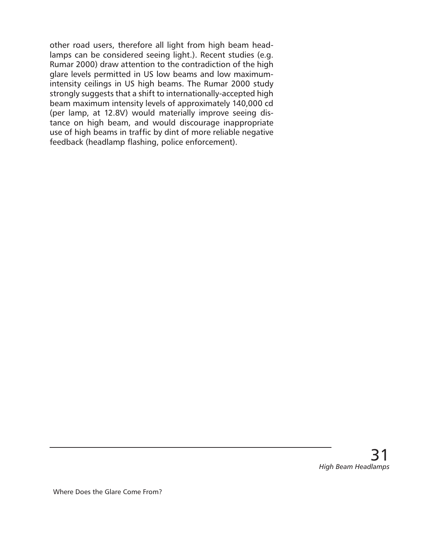other road users, therefore all light from high beam headlamps can be considered seeing light.). Recent studies (e.g. Rumar 2000) draw attention to the contradiction of the high glare levels permitted in US low beams and low maximumintensity ceilings in US high beams. The Rumar 2000 study strongly suggests that a shift to internationally-accepted high beam maximum intensity levels of approximately 140,000 cd (per lamp, at 12.8V) would materially improve seeing distance on high beam, and would discourage inappropriate use of high beams in traffic by dint of more reliable negative feedback (headlamp flashing, police enforcement).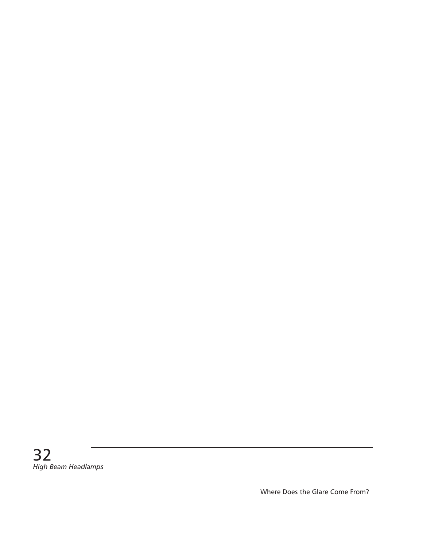Where Does the Glare Come From?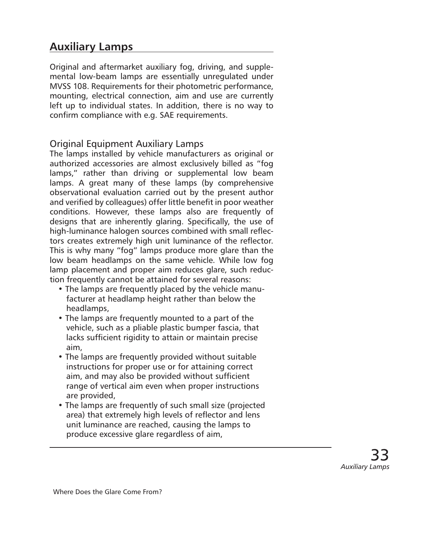# **Auxiliary Lamps**

Original and aftermarket auxiliary fog, driving, and supplemental low-beam lamps are essentially unregulated under MVSS 108. Requirements for their photometric performance, mounting, electrical connection, aim and use are currently left up to individual states. In addition, there is no way to confirm compliance with e.g. SAE requirements.

# Original Equipment Auxiliary Lamps

The lamps installed by vehicle manufacturers as original or authorized accessories are almost exclusively billed as "fog lamps," rather than driving or supplemental low beam lamps. A great many of these lamps (by comprehensive observational evaluation carried out by the present author and verified by colleagues) offer little benefit in poor weather conditions. However, these lamps also are frequently of designs that are inherently glaring. Specifically, the use of high-luminance halogen sources combined with small reflectors creates extremely high unit luminance of the reflector. This is why many "fog" lamps produce more glare than the low beam headlamps on the same vehicle. While low fog lamp placement and proper aim reduces glare, such reduction frequently cannot be attained for several reasons:

- The lamps are frequently placed by the vehicle manufacturer at headlamp height rather than below the headlamps,
- The lamps are frequently mounted to a part of the vehicle, such as a pliable plastic bumper fascia, that lacks sufficient rigidity to attain or maintain precise aim,
- The lamps are frequently provided without suitable instructions for proper use or for attaining correct aim, and may also be provided without sufficient range of vertical aim even when proper instructions are provided,
- The lamps are frequently of such small size (projected area) that extremely high levels of reflector and lens unit luminance are reached, causing the lamps to produce excessive glare regardless of aim,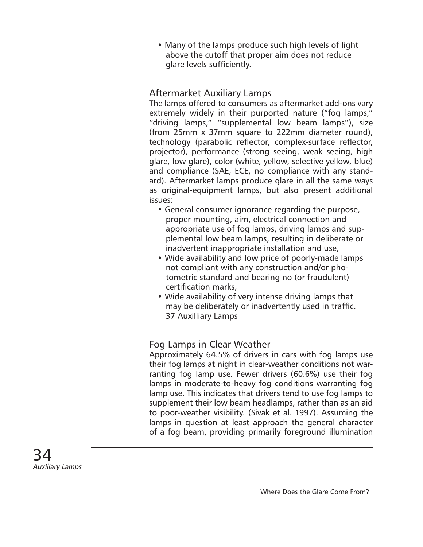• Many of the lamps produce such high levels of light above the cutoff that proper aim does not reduce glare levels sufficiently.

# Aftermarket Auxiliary Lamps

The lamps offered to consumers as aftermarket add-ons vary extremely widely in their purported nature ("fog lamps," "driving lamps," "supplemental low beam lamps"), size (from 25mm x 37mm square to 222mm diameter round), technology (parabolic reflector, complex-surface reflector, projector), performance (strong seeing, weak seeing, high glare, low glare), color (white, yellow, selective yellow, blue) and compliance (SAE, ECE, no compliance with any standard). Aftermarket lamps produce glare in all the same ways as original-equipment lamps, but also present additional issues:

- General consumer ignorance regarding the purpose, proper mounting, aim, electrical connection and appropriate use of fog lamps, driving lamps and supplemental low beam lamps, resulting in deliberate or inadvertent inappropriate installation and use,
- Wide availability and low price of poorly-made lamps not compliant with any construction and/or photometric standard and bearing no (or fraudulent) certification marks,
- Wide availability of very intense driving lamps that may be deliberately or inadvertently used in traffic. 37 Auxilliary Lamps

# Fog Lamps in Clear Weather

Approximately 64.5% of drivers in cars with fog lamps use their fog lamps at night in clear-weather conditions not warranting fog lamp use. Fewer drivers (60.6%) use their fog lamps in moderate-to-heavy fog conditions warranting fog lamp use. This indicates that drivers tend to use fog lamps to supplement their low beam headlamps, rather than as an aid to poor-weather visibility. (Sivak et al. 1997). Assuming the lamps in question at least approach the general character of a fog beam, providing primarily foreground illumination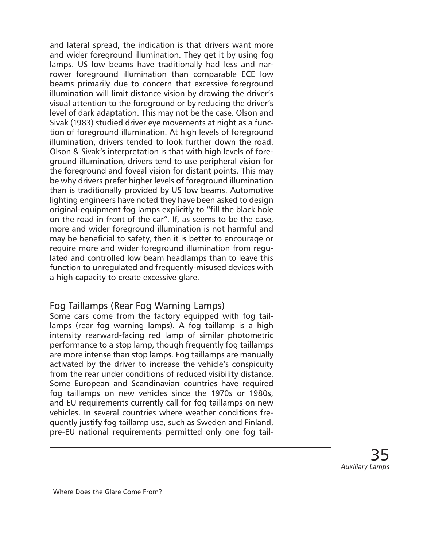and lateral spread, the indication is that drivers want more and wider foreground illumination. They get it by using fog lamps. US low beams have traditionally had less and narrower foreground illumination than comparable ECE low beams primarily due to concern that excessive foreground illumination will limit distance vision by drawing the driver's visual attention to the foreground or by reducing the driver's level of dark adaptation. This may not be the case. Olson and Sivak (1983) studied driver eye movements at night as a function of foreground illumination. At high levels of foreground illumination, drivers tended to look further down the road. Olson & Sivak's interpretation is that with high levels of foreground illumination, drivers tend to use peripheral vision for the foreground and foveal vision for distant points. This may be why drivers prefer higher levels of foreground illumination than is traditionally provided by US low beams. Automotive lighting engineers have noted they have been asked to design original-equipment fog lamps explicitly to "fill the black hole on the road in front of the car". If, as seems to be the case, more and wider foreground illumination is not harmful and may be beneficial to safety, then it is better to encourage or require more and wider foreground illumination from regulated and controlled low beam headlamps than to leave this function to unregulated and frequently-misused devices with a high capacity to create excessive glare.

# Fog Taillamps (Rear Fog Warning Lamps)

Some cars come from the factory equipped with fog taillamps (rear fog warning lamps). A fog taillamp is a high intensity rearward-facing red lamp of similar photometric performance to a stop lamp, though frequently fog taillamps are more intense than stop lamps. Fog taillamps are manually activated by the driver to increase the vehicle's conspicuity from the rear under conditions of reduced visibility distance. Some European and Scandinavian countries have required fog taillamps on new vehicles since the 1970s or 1980s, and EU requirements currently call for fog taillamps on new vehicles. In several countries where weather conditions frequently justify fog taillamp use, such as Sweden and Finland, pre-EU national requirements permitted only one fog tail-

> 35 *Auxiliary Lamps*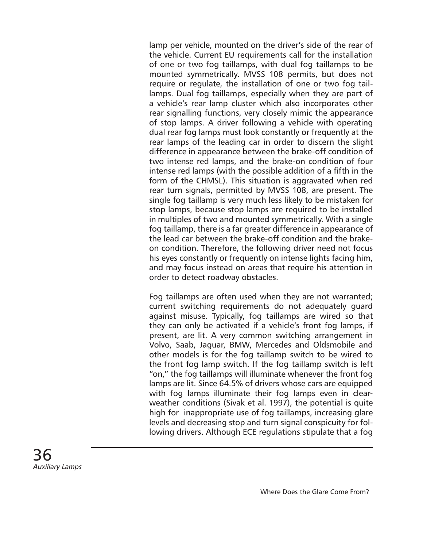lamp per vehicle, mounted on the driver's side of the rear of the vehicle. Current EU requirements call for the installation of one or two fog taillamps, with dual fog taillamps to be mounted symmetrically. MVSS 108 permits, but does not require or regulate, the installation of one or two fog taillamps. Dual fog taillamps, especially when they are part of a vehicle's rear lamp cluster which also incorporates other rear signalling functions, very closely mimic the appearance of stop lamps. A driver following a vehicle with operating dual rear fog lamps must look constantly or frequently at the rear lamps of the leading car in order to discern the slight difference in appearance between the brake-off condition of two intense red lamps, and the brake-on condition of four intense red lamps (with the possible addition of a fifth in the form of the CHMSL). This situation is aggravated when red rear turn signals, permitted by MVSS 108, are present. The single fog taillamp is very much less likely to be mistaken for stop lamps, because stop lamps are required to be installed in multiples of two and mounted symmetrically. With a single fog taillamp, there is a far greater difference in appearance of the lead car between the brake-off condition and the brakeon condition. Therefore, the following driver need not focus his eyes constantly or frequently on intense lights facing him, and may focus instead on areas that require his attention in order to detect roadway obstacles.

Fog taillamps are often used when they are not warranted; current switching requirements do not adequately guard against misuse. Typically, fog taillamps are wired so that they can only be activated if a vehicle's front fog lamps, if present, are lit. A very common switching arrangement in Volvo, Saab, Jaguar, BMW, Mercedes and Oldsmobile and other models is for the fog taillamp switch to be wired to the front fog lamp switch. If the fog taillamp switch is left "on," the fog taillamps will illuminate whenever the front fog lamps are lit. Since 64.5% of drivers whose cars are equipped with fog lamps illuminate their fog lamps even in clearweather conditions (Sivak et al. 1997), the potential is quite high for inappropriate use of fog taillamps, increasing glare levels and decreasing stop and turn signal conspicuity for following drivers. Although ECE regulations stipulate that a fog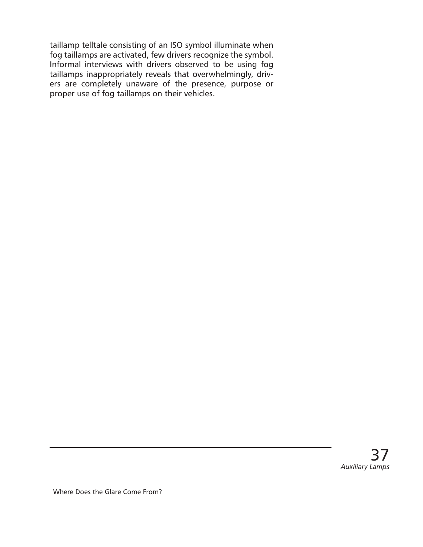taillamp telltale consisting of an ISO symbol illuminate when fog taillamps are activated, few drivers recognize the symbol. Informal interviews with drivers observed to be using fog taillamps inappropriately reveals that overwhelmingly, drivers are completely unaware of the presence, purpose or proper use of fog taillamps on their vehicles.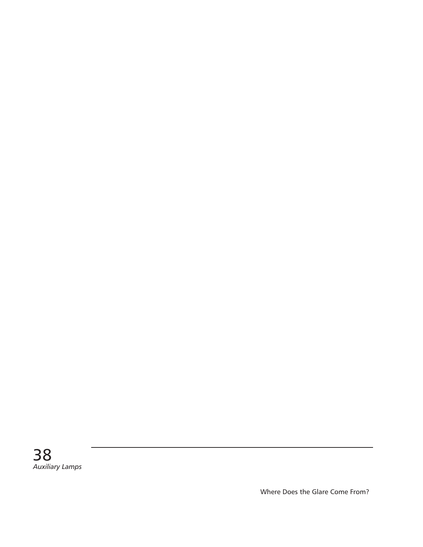Where Does the Glare Come From?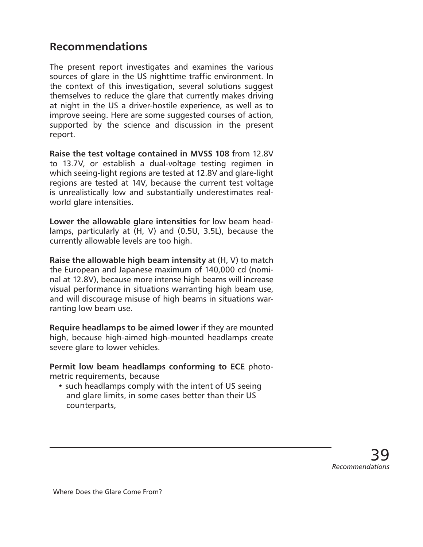# **Recommendations**

The present report investigates and examines the various sources of glare in the US nighttime traffic environment. In the context of this investigation, several solutions suggest themselves to reduce the glare that currently makes driving at night in the US a driver-hostile experience, as well as to improve seeing. Here are some suggested courses of action, supported by the science and discussion in the present report.

**Raise the test voltage contained in MVSS 108** from 12.8V to 13.7V, or establish a dual-voltage testing regimen in which seeing-light regions are tested at 12.8V and glare-light regions are tested at 14V, because the current test voltage is unrealistically low and substantially underestimates realworld glare intensities.

**Lower the allowable glare intensities** for low beam headlamps, particularly at (H, V) and (0.5U, 3.5L), because the currently allowable levels are too high.

**Raise the allowable high beam intensity** at (H, V) to match the European and Japanese maximum of 140,000 cd (nominal at 12.8V), because more intense high beams will increase visual performance in situations warranting high beam use, and will discourage misuse of high beams in situations warranting low beam use.

**Require headlamps to be aimed lower** if they are mounted high, because high-aimed high-mounted headlamps create severe glare to lower vehicles.

**Permit low beam headlamps conforming to ECE** photometric requirements, because

• such headlamps comply with the intent of US seeing and glare limits, in some cases better than their US counterparts,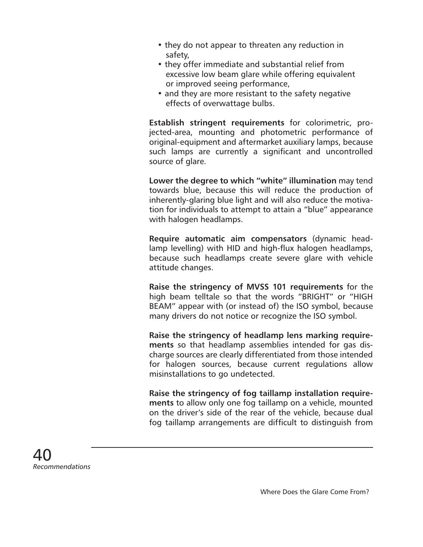- they do not appear to threaten any reduction in safety,
- they offer immediate and substantial relief from excessive low beam glare while offering equivalent or improved seeing performance,
- and they are more resistant to the safety negative effects of overwattage bulbs.

**Establish stringent requirements** for colorimetric, projected-area, mounting and photometric performance of original-equipment and aftermarket auxiliary lamps, because such lamps are currently a significant and uncontrolled source of glare.

**Lower the degree to which "white" illumination** may tend towards blue, because this will reduce the production of inherently-glaring blue light and will also reduce the motivation for individuals to attempt to attain a "blue" appearance with halogen headlamps.

**Require automatic aim compensators** (dynamic headlamp levelling) with HID and high-flux halogen headlamps, because such headlamps create severe glare with vehicle attitude changes.

**Raise the stringency of MVSS 101 requirements** for the high beam telltale so that the words "BRIGHT" or "HIGH BEAM" appear with (or instead of) the ISO symbol, because many drivers do not notice or recognize the ISO symbol.

**Raise the stringency of headlamp lens marking requirements** so that headlamp assemblies intended for gas discharge sources are clearly differentiated from those intended for halogen sources, because current regulations allow misinstallations to go undetected.

**Raise the stringency of fog taillamp installation requirements** to allow only one fog taillamp on a vehicle, mounted on the driver's side of the rear of the vehicle, because dual fog taillamp arrangements are difficult to distinguish from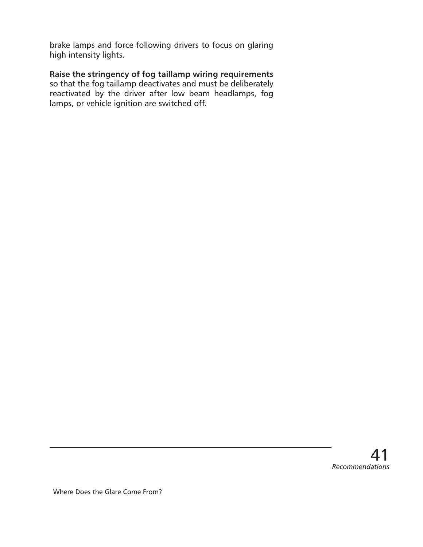brake lamps and force following drivers to focus on glaring high intensity lights.

**Raise the stringency of fog taillamp wiring requirements** so that the fog taillamp deactivates and must be deliberately reactivated by the driver after low beam headlamps, fog lamps, or vehicle ignition are switched off.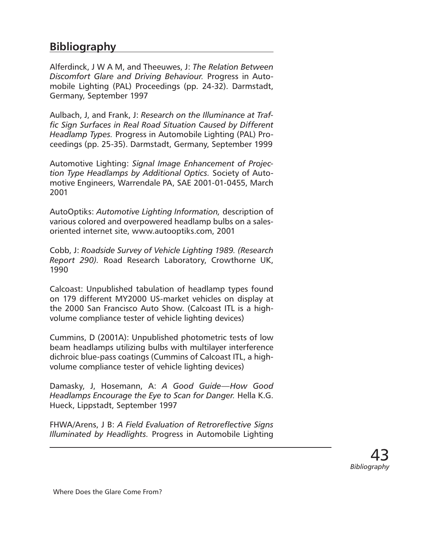# **Bibliography**

Alferdinck, J W A M, and Theeuwes, J: *The Relation Between Discomfort Glare and Driving Behaviour.* Progress in Automobile Lighting (PAL) Proceedings (pp. 24-32). Darmstadt, Germany, September 1997

Aulbach, J, and Frank, J: *Research on the Illuminance at Traffic Sign Surfaces in Real Road Situation Caused by Different Headlamp Types.* Progress in Automobile Lighting (PAL) Proceedings (pp. 25-35). Darmstadt, Germany, September 1999

Automotive Lighting: *Signal Image Enhancement of Projection Type Headlamps by Additional Optics.* Society of Automotive Engineers, Warrendale PA, SAE 2001-01-0455, March 2001

AutoOptiks: *Automotive Lighting Information,* description of various colored and overpowered headlamp bulbs on a salesoriented internet site, www.autooptiks.com, 2001

Cobb, J: *Roadside Survey of Vehicle Lighting 1989. (Research Report 290).* Road Research Laboratory, Crowthorne UK, 1990

Calcoast: Unpublished tabulation of headlamp types found on 179 different MY2000 US-market vehicles on display at the 2000 San Francisco Auto Show. (Calcoast ITL is a highvolume compliance tester of vehicle lighting devices)

Cummins, D (2001A): Unpublished photometric tests of low beam headlamps utilizing bulbs with multilayer interference dichroic blue-pass coatings (Cummins of Calcoast ITL, a highvolume compliance tester of vehicle lighting devices)

Damasky, J, Hosemann, A: *A Good Guide—How Good Headlamps Encourage the Eye to Scan for Danger.* Hella K.G. Hueck, Lippstadt, September 1997

FHWA/Arens, J B: *A Field Evaluation of Retroreflective Signs Illuminated by Headlights.* Progress in Automobile Lighting

> 43 *Bibliography*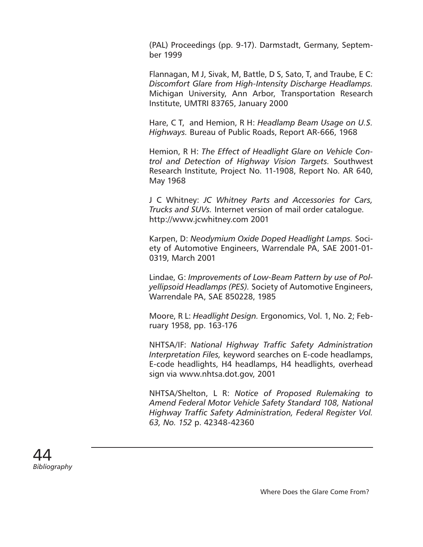(PAL) Proceedings (pp. 9-17). Darmstadt, Germany, September 1999

Flannagan, M J, Sivak, M, Battle, D S, Sato, T, and Traube, E C: *Discomfort Glare from High-Intensity Discharge Headlamps.* Michigan University, Ann Arbor, Transportation Research Institute, UMTRI 83765, January 2000

Hare, C T, and Hemion, R H: *Headlamp Beam Usage on U.S. Highways.* Bureau of Public Roads, Report AR-666, 1968

Hemion, R H: *The Effect of Headlight Glare on Vehicle Control and Detection of Highway Vision Targets.* Southwest Research Institute, Project No. 11-1908, Report No. AR 640, May 1968

J C Whitney: *JC Whitney Parts and Accessories for Cars, Trucks and SUVs.* Internet version of mail order catalogue. http://www.jcwhitney.com 2001

Karpen, D: *Neodymium Oxide Doped Headlight Lamps.* Society of Automotive Engineers, Warrendale PA, SAE 2001-01- 0319, March 2001

Lindae, G: *Improvements of Low-Beam Pattern by use of Polyellipsoid Headlamps (PES).* Society of Automotive Engineers, Warrendale PA, SAE 850228, 1985

Moore, R L: *Headlight Design.* Ergonomics, Vol. 1, No. 2; February 1958, pp. 163-176

NHTSA/IF: *National Highway Traffic Safety Administration Interpretation Files,* keyword searches on E-code headlamps, E-code headlights, H4 headlamps, H4 headlights, overhead sign via www.nhtsa.dot.gov, 2001

NHTSA/Shelton, L R: *Notice of Proposed Rulemaking to Amend Federal Motor Vehicle Safety Standard 108, National Highway Traffic Safety Administration, Federal Register Vol. 63, No. 152* p. 42348-42360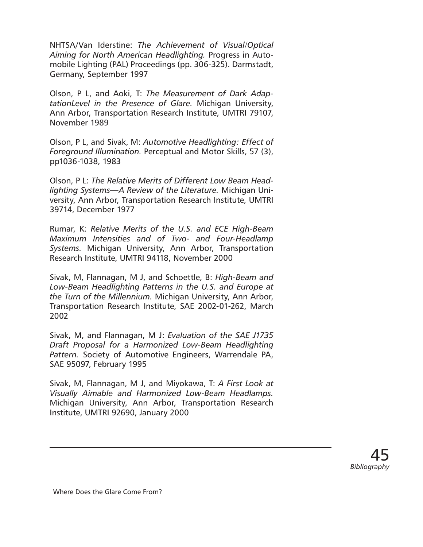NHTSA/Van Iderstine: *The Achievement of Visual/Optical Aiming for North American Headlighting.* Progress in Automobile Lighting (PAL) Proceedings (pp. 306-325). Darmstadt, Germany, September 1997

Olson, P L, and Aoki, T: *The Measurement of Dark AdaptationLevel in the Presence of Glare.* Michigan University, Ann Arbor, Transportation Research Institute, UMTRI 79107, November 1989

Olson, P L, and Sivak, M: *Automotive Headlighting: Effect of Foreground Illumination.* Perceptual and Motor Skills, 57 (3), pp1036-1038, 1983

Olson, P L: *The Relative Merits of Different Low Beam Headlighting Systems—A Review of the Literature.* Michigan University, Ann Arbor, Transportation Research Institute, UMTRI 39714, December 1977

Rumar, K: *Relative Merits of the U.S. and ECE High-Beam Maximum Intensities and of Two- and Four-Headlamp Systems.* Michigan University, Ann Arbor, Transportation Research Institute, UMTRI 94118, November 2000

Sivak, M, Flannagan, M J, and Schoettle, B: *High-Beam and Low-Beam Headlighting Patterns in the U.S. and Europe at the Turn of the Millennium.* Michigan University, Ann Arbor, Transportation Research Institute, SAE 2002-01-262, March 2002

Sivak, M, and Flannagan, M J: *Evaluation of the SAE J1735 Draft Proposal for a Harmonized Low-Beam Headlighting Pattern.* Society of Automotive Engineers, Warrendale PA, SAE 95097, February 1995

Sivak, M, Flannagan, M J, and Miyokawa, T: *A First Look at Visually Aimable and Harmonized Low-Beam Headlamps.*  Michigan University, Ann Arbor, Transportation Research Institute, UMTRI 92690, January 2000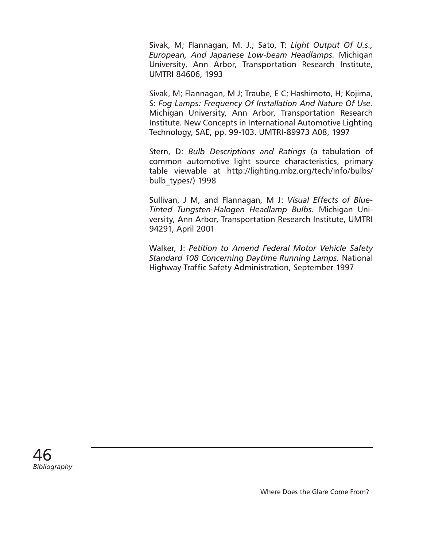Sivak, M; Flannagan, M. J.; Sato, T: *Light Output Of U.s., European, And Japanese Low-beam Headlamps.* Michigan University, Ann Arbor, Transportation Research Institute, UMTRI 84606, 1993

Sivak, M; Flannagan, M J; Traube, E C; Hashimoto, H; Kojima, S: *Fog Lamps: Frequency Of Installation And Nature Of Use.* Michigan University, Ann Arbor, Transportation Research Institute. New Concepts in International Automotive Lighting Technology, SAE, pp. 99-103. UMTRI-89973 A08, 1997

Stern, D: *Bulb Descriptions and Ratings* (a tabulation of common automotive light source characteristics, primary table viewable at http://lighting.mbz.org/tech/info/bulbs/ bulb\_types/) 1998

Sullivan, J M, and Flannagan, M J: *Visual Effects of Blue-Tinted Tungsten-Halogen Headlamp Bulbs.* Michigan University, Ann Arbor, Transportation Research Institute, UMTRI 94291, April 2001

Walker, J: *Petition to Amend Federal Motor Vehicle Safety Standard 108 Concerning Daytime Running Lamps.* National Highway Traffic Safety Administration, September 1997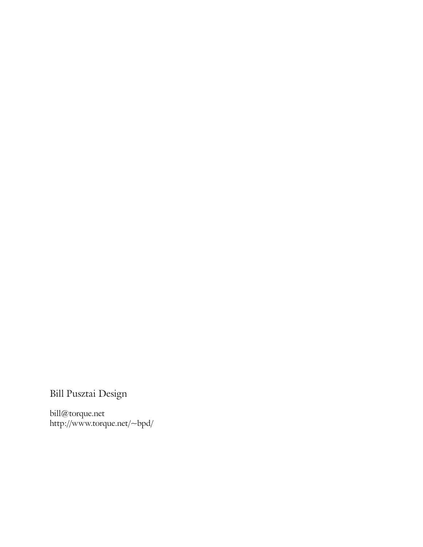Bill Pusztai Design

bill@torque.net http://www.torque.net/~bpd/